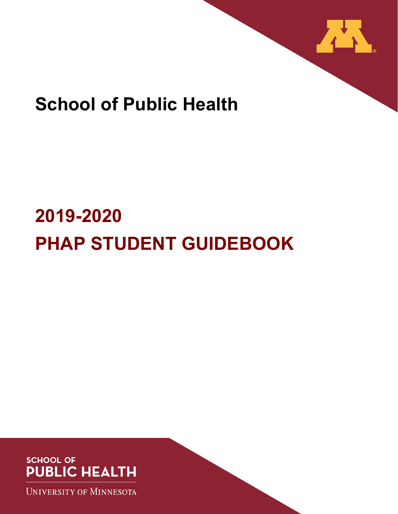

# **School of Public Health**

# **2019-2020 PHAP STUDENT GUIDEBOOK**



**UNIVERSITY OF MINNESOTA**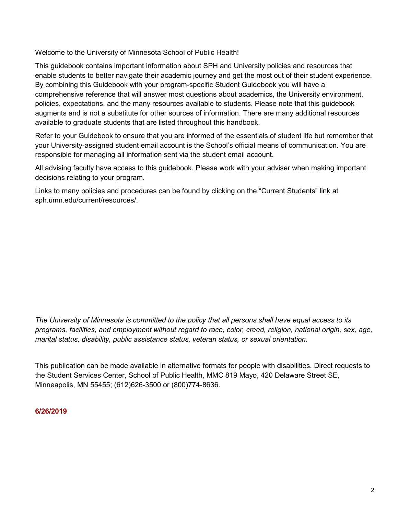Welcome to the University of Minnesota School of Public Health!

This guidebook contains important information about SPH and University policies and resources that enable students to better navigate their academic journey and get the most out of their student experience. By combining this Guidebook with your program-specific Student Guidebook you will have a comprehensive reference that will answer most questions about academics, the University environment, policies, expectations, and the many resources available to students. Please note that this guidebook augments and is not a substitute for other sources of information. There are many additional resources available to graduate students that are listed throughout this handbook.

Refer to your Guidebook to ensure that you are informed of the essentials of student life but remember that your University-assigned student email account is the School's official means of communication. You are responsible for managing all information sent via the student email account.

All advising faculty have access to this guidebook. Please work with your adviser when making important decisions relating to your program.

Links to many policies and procedures can be found by clicking on the "Current Students" link at [sph.umn.edu/current/resources/.](http://www.sph.umn.edu/current/resources/)

*The University of Minnesota is committed to the policy that all persons shall have equal access to its programs, facilities, and employment without regard to race, color, creed, religion, national origin, sex, age, marital status, disability, public assistance status, veteran status, or sexual orientation.*

This publication can be made available in alternative formats for people with disabilities. Direct requests to the Student Services Center, School of Public Health, MMC 819 Mayo, 420 Delaware Street SE, Minneapolis, MN 55455; (612)626-3500 or (800)774-8636.

#### **6/26/2019**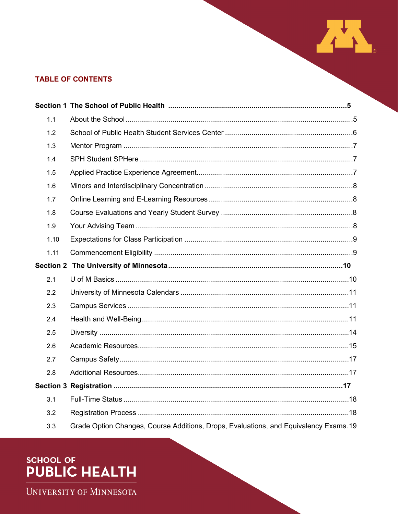# **TABLE OF CONTENTS**

| 1.1  |                                                                                      |  |
|------|--------------------------------------------------------------------------------------|--|
| 1.2  |                                                                                      |  |
| 1.3  |                                                                                      |  |
| 1.4  |                                                                                      |  |
| 1.5  |                                                                                      |  |
| 1.6  |                                                                                      |  |
| 1.7  |                                                                                      |  |
| 1.8  |                                                                                      |  |
| 1.9  |                                                                                      |  |
| 1.10 |                                                                                      |  |
| 1.11 |                                                                                      |  |
|      |                                                                                      |  |
| 2.1  |                                                                                      |  |
| 2.2  |                                                                                      |  |
| 2.3  |                                                                                      |  |
| 2.4  |                                                                                      |  |
| 2.5  |                                                                                      |  |
| 2.6  |                                                                                      |  |
| 2.7  |                                                                                      |  |
| 2.8  |                                                                                      |  |
|      |                                                                                      |  |
| 3.1  |                                                                                      |  |
| 3.2  |                                                                                      |  |
| 3.3  | Grade Option Changes, Course Additions, Drops, Evaluations, and Equivalency Exams.19 |  |

THE R

# SCHOOL OF<br>**PUBLIC HEALTH**

UNIVERSITY OF MINNESOTA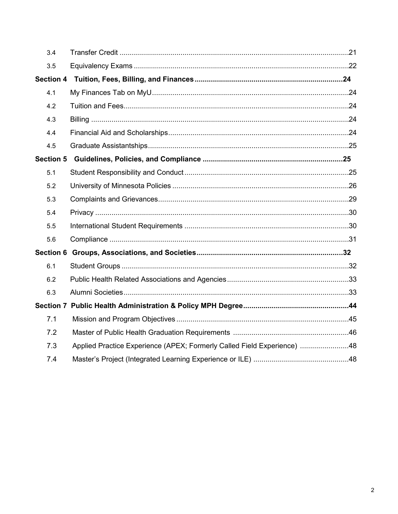| 3.4              |                                                                         |  |
|------------------|-------------------------------------------------------------------------|--|
| 3.5              |                                                                         |  |
| <b>Section 4</b> |                                                                         |  |
| 4.1              |                                                                         |  |
| 4.2              |                                                                         |  |
| 4.3              |                                                                         |  |
| 4.4              |                                                                         |  |
| 4.5              |                                                                         |  |
| <b>Section 5</b> |                                                                         |  |
| 5.1              |                                                                         |  |
| 5.2              |                                                                         |  |
| 5.3              |                                                                         |  |
| 5.4              |                                                                         |  |
| 5.5              |                                                                         |  |
| 5.6              |                                                                         |  |
|                  |                                                                         |  |
| 6.1              |                                                                         |  |
| 6.2              |                                                                         |  |
| 6.3              |                                                                         |  |
|                  |                                                                         |  |
| 7.1              |                                                                         |  |
| 7.2              |                                                                         |  |
| 7.3              | Applied Practice Experience (APEX; Formerly Called Field Experience) 48 |  |
| 7.4              |                                                                         |  |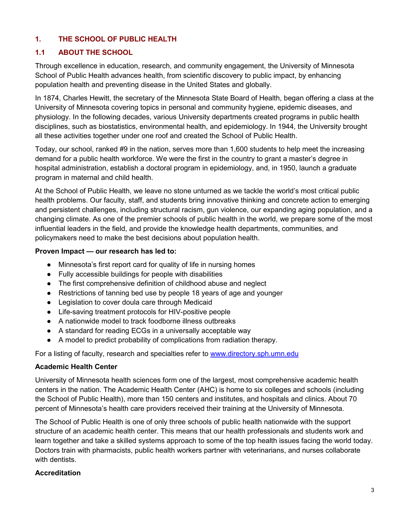# **1. THE SCHOOL OF PUBLIC HEALTH**

### **1.1 ABOUT THE SCHOOL**

Through excellence in education, research, and community engagement, the University of Minnesota School of Public Health advances health, from scientific discovery to public impact, by enhancing population health and preventing disease in the United States and globally.

In 1874, Charles Hewitt, the secretary of the Minnesota State Board of Health, began offering a class at the University of Minnesota covering topics in personal and community hygiene, epidemic diseases, and physiology. In the following decades, various University departments created programs in public health disciplines, such as biostatistics, environmental health, and epidemiology. In 1944, the University brought all these activities together under one roof and created the School of Public Health.

Today, our school, ranked #9 in the nation, serves more than 1,600 students to help meet the increasing demand for a public health workforce. We were the first in the country to grant a master's degree in hospital administration, establish a doctoral program in epidemiology, and, in 1950, launch a graduate program in maternal and child health.

At the School of Public Health, we leave no stone unturned as we tackle the world's most critical public health problems. Our faculty, staff, and students bring innovative thinking and concrete action to emerging and persistent challenges, including structural racism, gun violence, our expanding aging population, and a changing climate. As one of the premier schools of public health in the world, we prepare some of the most influential leaders in the field, and provide the knowledge health departments, communities, and policymakers need to make the best decisions about population health.

#### **Proven Impact — our research has led to:**

- Minnesota's first report card for quality of life in nursing homes
- Fully accessible buildings for people with disabilities
- The first comprehensive definition of childhood abuse and neglect
- Restrictions of tanning bed use by people 18 years of age and younger
- Legislation to cover doula care through Medicaid
- Life-saving treatment protocols for HIV-positive people
- A nationwide model to track foodborne illness outbreaks
- A standard for reading ECGs in a universally acceptable way
- A model to predict probability of complications from radiation therapy.

For a listing of faculty, research and specialties refer to [www.directory.sph.umn.edu](http://www.directory.sph.umn.edu/)

#### **Academic Health Center**

University of Minnesota health sciences form one of the largest, most comprehensive academic health centers in the nation. The Academic Health Center (AHC) is home to six colleges and schools (including the School of Public Health), more than 150 centers and institutes, and hospitals and clinics. About 70 percent of Minnesota's health care providers received their training at the University of Minnesota.

The School of Public Health is one of only three schools of public health nationwide with the support structure of an academic health center. This means that our health professionals and students work and learn together and take a skilled systems approach to some of the top health issues facing the world today. Doctors train with pharmacists, public health workers partner with veterinarians, and nurses collaborate with dentists

### **Accreditation**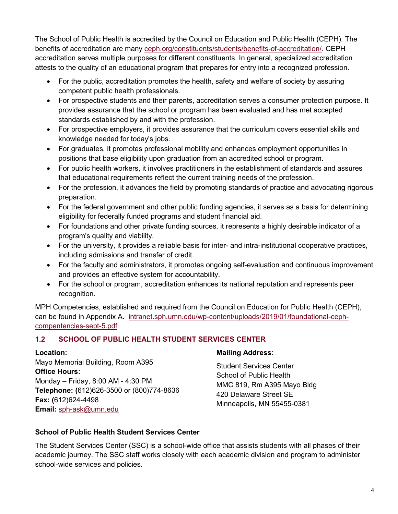The School of Public Health is accredited by the Council on Education and Public Health (CEPH). The benefits of accreditation are many [ceph.org/constituents/students/benefits-of-accreditation/.](https://ceph.org/constituents/students/benefits-of-accreditation/) CEPH accreditation serves multiple purposes for different constituents. In general, specialized accreditation attests to the quality of an educational program that prepares for entry into a recognized profession.

- For the public, accreditation promotes the health, safety and welfare of society by assuring competent public health professionals.
- For prospective students and their parents, accreditation serves a consumer protection purpose. It provides assurance that the school or program has been evaluated and has met accepted standards established by and with the profession.
- For prospective employers, it provides assurance that the curriculum covers essential skills and knowledge needed for today's jobs.
- For graduates, it promotes professional mobility and enhances employment opportunities in positions that base eligibility upon graduation from an accredited school or program.
- For public health workers, it involves practitioners in the establishment of standards and assures that educational requirements reflect the current training needs of the profession.
- For the profession, it advances the field by promoting standards of practice and advocating rigorous preparation.
- For the federal government and other public funding agencies, it serves as a basis for determining eligibility for federally funded programs and student financial aid.
- For foundations and other private funding sources, it represents a highly desirable indicator of a program's quality and viability.
- For the university, it provides a reliable basis for inter- and intra-institutional cooperative practices, including admissions and transfer of credit.
- For the faculty and administrators, it promotes ongoing self-evaluation and continuous improvement and provides an effective system for accountability.
- For the school or program, accreditation enhances its national reputation and represents peer recognition.

MPH Competencies, established and required from the Council on Education for Public Health (CEPH), can be found in Appendix A. [intranet.sph.umn.edu/wp-content/uploads/2019/01/foundational-ceph](https://intranet.sph.umn.edu/wp-content/uploads/2019/01/foundational-ceph-compentencies-sept-5.pdf)[compentencies-sept-5.pdf](https://intranet.sph.umn.edu/wp-content/uploads/2019/01/foundational-ceph-compentencies-sept-5.pdf)

# **1.2 SCHOOL OF PUBLIC HEALTH STUDENT SERVICES CENTER**

### **Location:**

Mayo Memorial Building, Room A395 **Office Hours:** Monday – Friday, 8:00 AM - 4:30 PM **Telephone: (**612)626-3500 or (800)774-8636 **Fax: (**612)624-4498 **Email:** [sph-ask@umn.edu](mailto:sph-ask@umn.edu)

### **Mailing Address:**

Student Services Center School of Public Health MMC 819, Rm A395 Mayo Bldg 420 Delaware Street SE Minneapolis, MN 55455-0381

# **School of Public Health Student Services Center**

The Student Services Center (SSC) is a school-wide office that assists students with all phases of their academic journey. The SSC staff works closely with each academic division and program to administer school-wide services and policies.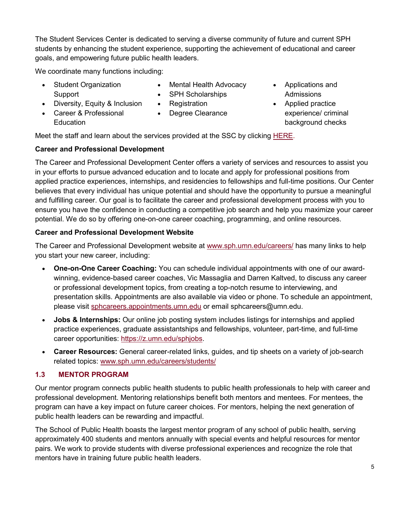The Student Services Center is dedicated to serving a diverse community of future and current SPH students by enhancing the student experience, supporting the achievement of educational and career goals, and empowering future public health leaders.

We coordinate many functions including:

- Student Organization Support
- Mental Health Advocacy
- Applications and Admissions
- Registration
- Applied practice experience/ criminal background checks

• Diversity, Equity & Inclusion

- Career & Professional **Education**
- Degree Clearance

• SPH Scholarships

Meet the staff and learn about the services provided at the SSC by clicking **HERE**.

# **Career and Professional Development**

The Career and Professional Development Center offers a variety of services and resources to assist you in your efforts to pursue advanced education and to locate and apply for professional positions from applied practice experiences, internships, and residencies to fellowships and full-time positions. Our Center believes that every individual has unique potential and should have the opportunity to pursue a meaningful and fulfilling career. Our goal is to facilitate the career and professional development process with you to ensure you have the confidence in conducting a competitive job search and help you maximize your career potential. We do so by offering one-on-one career coaching, programming, and online resources.

# **Career and Professional Development Website**

The Career and Professional Development website at [www.sph.umn.edu/careers/](http://www.sph.umn.edu/careers/) has many links to help you start your new career, including:

- **One-on-One Career Coaching:** You can schedule individual appointments with one of our awardwinning, evidence-based career coaches, Vic Massaglia and Darren Kaltved, to discuss any career or professional development topics, from creating a top-notch resume to interviewing, and presentation skills. Appointments are also available via video or phone. To schedule an appointment, please visit [sphcareers.appointments.umn.edu](about:blank) or email [sphcareers@umn.edu.](mailto:sphcareers@umn.edu)
- **Jobs & Internships:** Our online job posting system includes listings for internships and applied practice experiences, graduate assistantships and fellowships, volunteer, part-time, and full-time career opportunities: [https://z.umn.edu/sphjobs.](https://z.umn.edu/sphjobs)
- **Career Resources:** General career-related links, guides, and tip sheets on a variety of job-search related topics: [www.sph.umn.edu/careers/students/](http://www.sph.umn.edu/careers/students/)

# **1.3 MENTOR PROGRAM**

Our mentor program connects public health students to public health professionals to help with career and professional development. Mentoring relationships benefit both mentors and mentees. For mentees, the program can have a key impact on future career choices. For mentors, helping the next generation of public health leaders can be rewarding and impactful.

The School of Public Health boasts the largest mentor program of any school of public health, serving approximately 400 students and mentors annually with special events and helpful resources for mentor pairs. We work to provide students with diverse professional experiences and recognize the role that mentors have in training future public health leaders.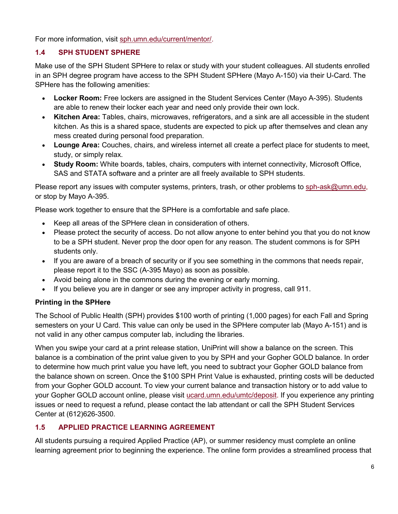For more information, visit [sph.umn.edu/current/mentor/.](http://sph.umn.edu/current/mentor/)

# **1.4 SPH STUDENT SPHERE**

Make use of the SPH Student SPHere to relax or study with your student colleagues. All students enrolled in an SPH degree program have access to the SPH Student SPHere (Mayo A-150) via their U-Card. The SPHere has the following amenities:

- **Locker Room:** Free lockers are assigned in the Student Services Center (Mayo A-395). Students are able to renew their locker each year and need only provide their own lock.
- **Kitchen Area:** Tables, chairs, microwaves, refrigerators, and a sink are all accessible in the student kitchen. As this is a shared space, students are expected to pick up after themselves and clean any mess created during personal food preparation.
- **Lounge Area:** Couches, chairs, and wireless internet all create a perfect place for students to meet, study, or simply relax.
- **Study Room:** White boards, tables, chairs, computers with internet connectivity, Microsoft Office, SAS and STATA software and a printer are all freely available to SPH students.

Please report any issues with computer systems, printers, trash, or other problems to [sph-ask@umn.edu,](mailto:sph-ask@umn.edu) or stop by Mayo A-395.

Please work together to ensure that the SPHere is a comfortable and safe place.

- Keep all areas of the SPHere clean in consideration of others.
- Please protect the security of access. Do not allow anyone to enter behind you that you do not know to be a SPH student. Never prop the door open for any reason. The student commons is for SPH students only.
- If you are aware of a breach of security or if you see something in the commons that needs repair, please report it to the SSC (A-395 Mayo) as soon as possible.
- Avoid being alone in the commons during the evening or early morning.
- If you believe you are in danger or see any improper activity in progress, call 911.

# **Printing in the SPHere**

The School of Public Health (SPH) provides \$100 worth of printing (1,000 pages) for each Fall and Spring semesters on your U Card. This value can only be used in the SPHere computer lab (Mayo A-151) and is not valid in any other campus computer lab, including the libraries.

When you swipe your card at a print release station, UniPrint will show a balance on the screen. This balance is a combination of the print value given to you by SPH and your Gopher GOLD balance. In order to determine how much print value you have left, you need to subtract your Gopher GOLD balance from the balance shown on screen. Once the \$100 SPH Print Value is exhausted, printing costs will be deducted from your Gopher GOLD account. To view your current balance and transaction history or to add value to your Gopher GOLD account online, please visit [ucard.umn.edu/umtc/deposit.](https://ucard.umn.edu/umtc/deposit) If you experience any printing issues or need to request a refund, please contact the lab attendant or call the SPH Student Services Center at (612)626-3500.

### **1.5 APPLIED PRACTICE LEARNING AGREEMENT**

All students pursuing a required Applied Practice (AP), or summer residency must complete an online learning agreement prior to beginning the experience. The online form provides a streamlined process that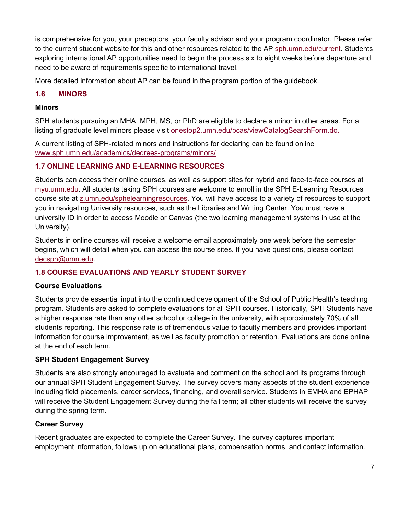is comprehensive for you, your preceptors, your faculty advisor and your program coordinator. Please refer to the current student website for this and other resources related to the AP [sph.umn.edu/current.](http://www.sph.umn.edu/current/field-experience/) Students exploring international AP opportunities need to begin the process six to eight weeks before departure and need to be aware of requirements specific to international travel.

More detailed information about AP can be found in the program portion of the guidebook.

## **1.6 MINORS**

#### **Minors**

SPH students pursuing an MHA, MPH, MS, or PhD are eligible to declare a minor in other areas. For a listing of graduate level minors please visit [onestop2.umn.edu/pcas/viewCatalogSearchForm.do.](https://onestop2.umn.edu/pcas/viewCatalogSearchForm.do)

A current listing of SPH-related minors and instructions for declaring can be found online [www.sph.umn.edu/academics/degrees-programs/minors/](http://www.sph.umn.edu/academics/degrees-programs/minors/)

### **1.7 ONLINE LEARNING AND E-LEARNING RESOURCES**

Students can access their online courses, as well as support sites for hybrid and face-to-face courses at [myu.umn.edu.](https://www.myu.umn.edu/) All students taking SPH courses are welcome to enroll in the SPH E-Learning Resources course site at [z.umn.edu/sphelearningresources.](http://z.umn.edu/sphelearningresources) You will have access to a variety of resources to support you in navigating University resources, such as the Libraries and Writing Center. You must have a university ID in order to access Moodle or Canvas (the two learning management systems in use at the University).

Students in online courses will receive a welcome email approximately one week before the semester begins, which will detail when you can access the course sites. If you have questions, please contact decsph@umn.edu.

### **1.8 COURSE EVALUATIONS AND YEARLY STUDENT SURVEY**

#### **Course Evaluations**

Students provide essential input into the continued development of the School of Public Health's teaching program. Students are asked to complete evaluations for all SPH courses. Historically, SPH Students have a higher response rate than any other school or college in the university, with approximately 70% of all students reporting. This response rate is of tremendous value to faculty members and provides important information for course improvement, as well as faculty promotion or retention. Evaluations are done online at the end of each term.

### **SPH Student Engagement Survey**

Students are also strongly encouraged to evaluate and comment on the school and its programs through our annual SPH Student Engagement Survey. The survey covers many aspects of the student experience including field placements, career services, financing, and overall service. Students in EMHA and EPHAP will receive the Student Engagement Survey during the fall term; all other students will receive the survey during the spring term.

### **Career Survey**

Recent graduates are expected to complete the Career Survey. The survey captures important employment information, follows up on educational plans, compensation norms, and contact information.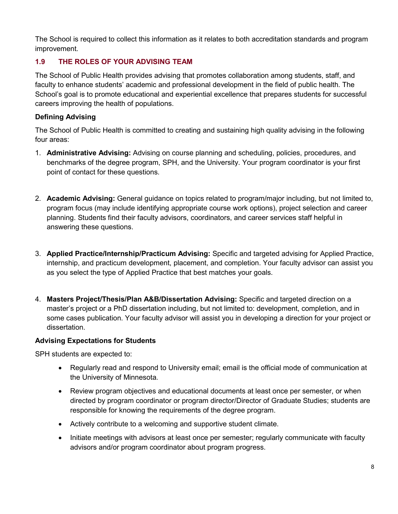The School is required to collect this information as it relates to both accreditation standards and program improvement.

# **1.9 THE ROLES OF YOUR ADVISING TEAM**

The School of Public Health provides advising that promotes collaboration among students, staff, and faculty to enhance students' academic and professional development in the field of public health. The School's goal is to promote educational and experiential excellence that prepares students for successful careers improving the health of populations.

## **Defining Advising**

The School of Public Health is committed to creating and sustaining high quality advising in the following four areas:

- 1. **Administrative Advising:** Advising on course planning and scheduling, policies, procedures, and benchmarks of the degree program, SPH, and the University. Your program coordinator is your first point of contact for these questions.
- 2. **Academic Advising:** General guidance on topics related to program/major including, but not limited to, program focus (may include identifying appropriate course work options), project selection and career planning. Students find their faculty advisors, coordinators, and career services staff helpful in answering these questions.
- 3. **Applied Practice/Internship/Practicum Advising:** Specific and targeted advising for Applied Practice, internship, and practicum development, placement, and completion. Your faculty advisor can assist you as you select the type of Applied Practice that best matches your goals.
- 4. **Masters Project/Thesis/Plan A&B/Dissertation Advising:** Specific and targeted direction on a master's project or a PhD dissertation including, but not limited to: development, completion, and in some cases publication. Your faculty advisor will assist you in developing a direction for your project or dissertation.

### **Advising Expectations for Students**

SPH students are expected to:

- Regularly read and respond to University email; email is the official mode of communication at the University of Minnesota*.*
- Review program objectives and educational documents at least once per semester, or when directed by program coordinator or program director/Director of Graduate Studies; students are responsible for knowing the requirements of the degree program.
- Actively contribute to a welcoming and supportive student climate.
- Initiate meetings with advisors at least once per semester; regularly communicate with faculty advisors and/or program coordinator about program progress.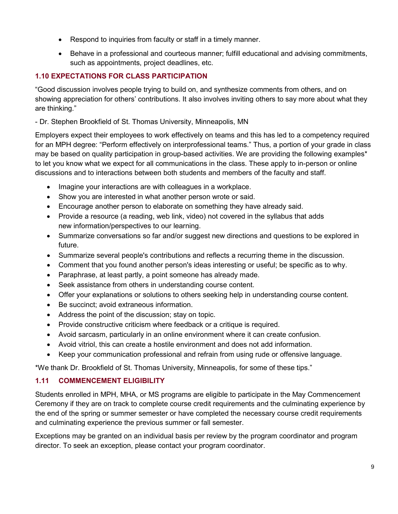- Respond to inquiries from faculty or staff in a timely manner.
- Behave in a professional and courteous manner; fulfill educational and advising commitments, such as appointments, project deadlines, etc.

# **1.10 EXPECTATIONS FOR CLASS PARTICIPATION**

"Good discussion involves people trying to build on, and synthesize comments from others, and on showing appreciation for others' contributions. It also involves inviting others to say more about what they are thinking."

- Dr. Stephen Brookfield of St. Thomas University, Minneapolis, MN

Employers expect their employees to work effectively on teams and this has led to a competency required for an MPH degree: "Perform effectively on interprofessional teams." Thus, a portion of your grade in class may be based on quality participation in group-based activities. We are providing the following examples\* to let you know what we expect for all communications in the class. These apply to in-person or online discussions and to interactions between both students and members of the faculty and staff.

- Imagine your interactions are with colleagues in a workplace.
- Show you are interested in what another person wrote or said.
- Encourage another person to elaborate on something they have already said.
- Provide a resource (a reading, web link, video) not covered in the syllabus that adds new information/perspectives to our learning.
- Summarize conversations so far and/or suggest new directions and questions to be explored in future.
- Summarize several people's contributions and reflects a recurring theme in the discussion.
- Comment that you found another person's ideas interesting or useful; be specific as to why.
- Paraphrase, at least partly, a point someone has already made.
- Seek assistance from others in understanding course content.
- Offer your explanations or solutions to others seeking help in understanding course content.
- Be succinct; avoid extraneous information.
- Address the point of the discussion; stay on topic.
- Provide constructive criticism where feedback or a critique is required.
- Avoid sarcasm, particularly in an online environment where it can create confusion.
- Avoid vitriol, this can create a hostile environment and does not add information.
- Keep your communication professional and refrain from using rude or offensive language.

\*We thank Dr. Brookfield of St. Thomas University, Minneapolis, for some of these tips."

# **1.11 COMMENCEMENT ELIGIBILITY**

Students enrolled in MPH, MHA, or MS programs are eligible to participate in the May Commencement Ceremony if they are on track to complete course credit requirements and the culminating experience by the end of the spring or summer semester or have completed the necessary course credit requirements and culminating experience the previous summer or fall semester.

Exceptions may be granted on an individual basis per review by the program coordinator and program director. To seek an exception, please contact your program coordinator.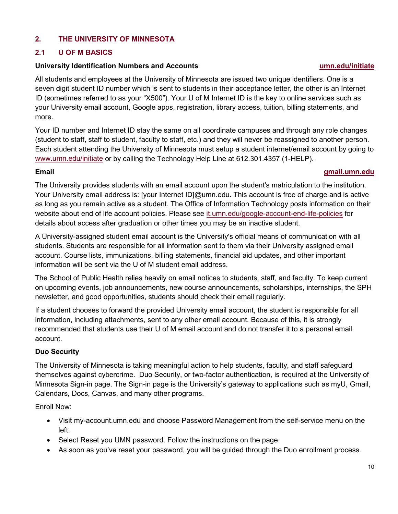# **2. THE UNIVERSITY OF MINNESOTA**

### **2.1 U OF M BASICS**

#### **University Identification Numbers and Accounts [umn.edu/initiate](http://umn.edu/initiate)**

All students and employees at the University of Minnesota are issued two unique identifiers. One is a seven digit student ID number which is sent to students in their acceptance letter, the other is an Internet ID (sometimes referred to as your "X500"). Your U of M Internet ID is the key to online services such as your University email account, Google apps, registration, library access, tuition, billing statements, and more.

Your ID number and Internet ID stay the same on all coordinate campuses and through any role changes (student to staff, staff to student, faculty to staff, etc.) and they will never be reassigned to another person. Each student attending the University of Minnesota must setup a student internet/email account by going to [www.umn.edu/initiate](http://www.umn.edu/initiate) or by calling the Technology Help Line at 612.301.4357 (1-HELP).

### **Email [gmail.umn.edu](http://gmail.umn.edu/)**

The University provides students with an email account upon the student's matriculation to the institution. Your University email address is: [your Internet ID]@umn.edu. This account is free of charge and is active as long as you remain active as a student. The Office of Information Technology posts information on their website about end of life account policies. Please see [it.umn.edu/google-account-end-life-policies](http://it.umn.edu/google-account-end-life-policies) for details about access after graduation or other times you may be an inactive student.

A University-assigned student email account is the University's official means of communication with all students. Students are responsible for all information sent to them via their University assigned email account. Course lists, immunizations, billing statements, financial aid updates, and other important information will be sent via the U of M student email address.

The School of Public Health relies heavily on email notices to students, staff, and faculty. To keep current on upcoming events, job announcements, new course announcements, scholarships, internships, the SPH newsletter, and good opportunities, students should check their email regularly.

If a student chooses to forward the provided University email account, the student is responsible for all information, including attachments, sent to any other email account. Because of this, it is strongly recommended that students use their U of M email account and do not transfer it to a personal email account.

### **Duo Security**

The University of Minnesota is taking meaningful action to help students, faculty, and staff safeguard themselves against cybercrime. Duo Security, or two-factor authentication, is required at the University of Minnesota Sign-in page. The Sign-in page is the University's gateway to applications such as myU, Gmail, Calendars, Docs, Canvas, and many other programs.

Enroll Now:

- Visit my-account.umn.edu and choose Password Management from the self-service menu on the left.
- Select Reset you UMN password. Follow the instructions on the page.
- As soon as you've reset your password, you will be guided through the Duo enrollment process.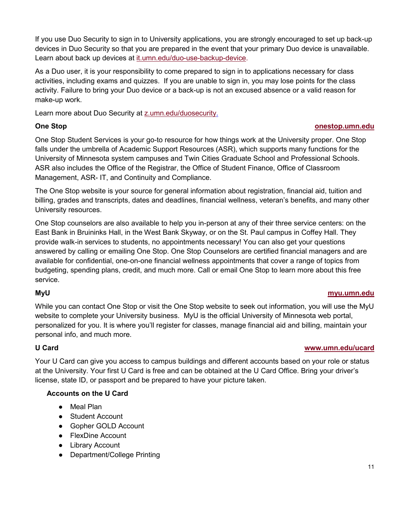If you use Duo Security to sign in to University applications, you are strongly encouraged to set up back-up devices in Duo Security so that you are prepared in the event that your primary Duo device is unavailable. Learn about back up devices at [it.umn.edu/duo-use-backup-device.](https://it.umn.edu/duo-use-backup-device)

As a Duo user, it is your responsibility to come prepared to sign in to applications necessary for class activities, including exams and quizzes. If you are unable to sign in, you may lose points for the class activity. Failure to bring your Duo device or a back-up is not an excused absence or a valid reason for make-up work.

Learn more about Duo Security at z.umn.edu/duosecurity.

#### **One Stop [onestop.umn.edu](http://onestop.umn.edu/)**

One Stop Student Services is your go-to resource for how things work at the University proper. One Stop falls under the umbrella of Academic Support Resources (ASR), which supports many functions for the University of Minnesota system campuses and Twin Cities Graduate School and Professional Schools. ASR also includes the Office of the Registrar, the Office of Student Finance, Office of Classroom Management, ASR- IT, and Continuity and Compliance.

The One Stop website is your source for general information about registration, financial aid, tuition and billing, grades and transcripts, dates and deadlines, financial wellness, veteran's benefits, and many other University resources.

One Stop counselors are also available to help you in-person at any of their three service centers: on the East Bank in Bruininks Hall, in the West Bank Skyway, or on the St. Paul campus in Coffey Hall. They provide walk-in services to students, no appointments necessary! You can also get your questions answered by calling or emailing One Stop. One Stop Counselors are certified financial managers and are available for confidential, one-on-one financial wellness appointments that cover a range of topics from budgeting, spending plans, credit, and much more. Call or email One Stop to learn more about this free service.

#### **MyU [myu.umn.edu](http://myu.umn.edu/)**

While you can contact One Stop or visit the One Stop website to seek out information, you will use the MyU website to complete your University business. MyU is the official University of Minnesota web portal, personalized for you. It is where you'll register for classes, manage financial aid and billing, maintain your personal info, and much more.

### **U Card [www.umn.edu/ucard](http://www.umn.edu/ucard/)**

Your U Card can give you access to campus buildings and different accounts based on your role or status at the University. Your first U Card is free and can be obtained at the [U Card Office.](http://www1.umn.edu/ucard/umtc/tcget.html) Bring your driver's license, state ID, or passport and be prepared to have your picture taken.

### **Accounts on the U Card**

- Meal Plan
- Student Account
- [Gopher GOLD](https://ucard.umn.edu/umtc/about-gopher-gold%E2%84%A2) Account
- FlexDine Account
- Library Account
- Department/College Printing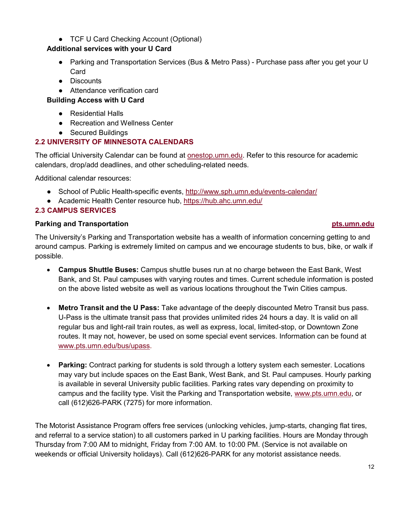# ● [TCF U Card Checking](https://ucard.umn.edu/umtc/about-tcf-u-card-checking) Account (Optional)

### **Additional services with your U Card**

- [Parking and Transportation Services](http://umn.edu/pts) (Bus & Metro Pass) Purchase pass after you get your U Card
- [Discounts](https://ucard.umn.edu/umtc/discounts)
- Attendance verification card

# **Building Access with U Card**

- Residential Halls
- [Recreation and Wellness Center](http://recwell.umn.edu/membership/eligibility.php)
- Secured Buildings

# **2.2 UNIVERSITY OF MINNESOTA CALENDARS**

The official University Calendar can be found at [onestop.umn.edu.](http://onestop.umn.edu/) Refer to this resource for academic calendars, drop/add deadlines, and other scheduling-related needs.

Additional calendar resources:

- School of Public Health-specific events,<http://www.sph.umn.edu/events-calendar/>
- Academic Health Center resource hub,<https://hub.ahc.umn.edu/>

# **2.3 CAMPUS SERVICES**

### **Parking and Transportation [pts.umn.edu](http://www.pts.umn.edu/)**

The University's Parking and Transportation website has a wealth of information concerning getting to and around campus. Parking is extremely limited on campus and we encourage students to bus, bike, or walk if possible.

- **Campus Shuttle Buses:** Campus shuttle buses run at no charge between the East Bank, West Bank, and St. Paul campuses with varying routes and times. Current schedule information is posted on the above listed website as well as various locations throughout the Twin Cities campus.
- **Metro Transit and the U Pass:** Take advantage of the deeply discounted Metro Transit bus pass. U-Pass is the ultimate transit pass that provides unlimited rides 24 hours a day. It is valid on all regular bus and light-rail train routes, as well as express, local, limited-stop, or Downtown Zone routes. It may not, however, be used on some special event services. Information can be found at [www.pts.umn.edu/bus/upass.](http://www.pts.umn.edu/bus/upass)
- **Parking:** Contract parking for students is sold through a lottery system each semester. Locations may vary but include spaces on the East Bank, West Bank, and St. Paul campuses. Hourly parking is available in several University public facilities. Parking rates vary depending on proximity to campus and the facility type. Visit the Parking and Transportation website, [www.pts.umn.edu,](http://www.pts.umn.edu/) or call (612)626-PARK (7275) for more information.

The Motorist Assistance Program offers free services (unlocking vehicles, jump-starts, changing flat tires, and referral to a service station) to all customers parked in U parking facilities. Hours are Monday through Thursday from 7:00 AM to midnight, Friday from 7:00 AM. to 10:00 PM. (Service is not available on weekends or official University holidays). Call (612)626-PARK for any motorist assistance needs.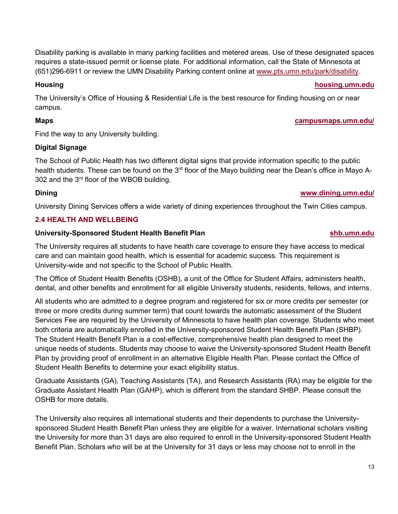Disability parking is available in many parking facilities and metered areas. Use of these designated spaces requires a state-issued permit or license plate. For additional information, call the State of Minnesota at (651)296-6911 or review the UMN Disability Parking content online at [www.pts.umn.edu/park/disability.](http://www.pts.umn.edu/park/disability)

#### **Housing [housing.umn.edu](http://www.housing.umn.edu/)**

The University's Office of Housing & Residential Life is the best resource for finding housing on or near campus.

### **Maps [campusmaps.umn.edu/](http://campusmaps.umn.edu/)**

Find the way to any University building.

### **Digital Signage**

The School of Public Health has two different digital signs that provide information specific to the public health students. These can be found on the 3<sup>rd</sup> floor of the Mayo building near the Dean's office in Mayo A-302 and the 3rd floor of the WBOB building.

# **Dining [www.dining.umn.edu/](http://www.dining.umn.edu/)**

University Dining Services offers a wide variety of dining experiences throughout the Twin Cities campus.

# **2.4 HEALTH AND WELLBEING**

### **[University-Sponsored Student Health Benefit Plan](http://www.shb.umn.edu/) [shb.umn.edu](https://shb.umn.edu/)**

The University requires all students to have health care coverage to ensure they have access to medical care and can maintain good health, which is essential for academic success. This requirement is University-wide and not specific to the School of Public Health.

The Office of Student Health Benefits (OSHB), a unit of the [Office for Student Affairs,](http://www.osa.umn.edu/) administers health, dental, and other benefits and enrollment for all eligible University students, residents, fellows, and interns.

All students who are admitted to a degree program and registered for six or more credits per semester (or three or more credits during summer term) that count towards the automatic assessment of the Student Services Fee are required by the University of Minnesota to have health plan coverage. Students who meet both criteria are automatically enrolled in the [University-sponsored Student Health Benefit Plan](http://www.shb.umn.edu/) (SHBP). The Student Health Benefit Plan is a cost-effective, comprehensive health plan designed to meet the unique needs of students. Students may choose to [waive](http://www.shb.umn.edu/waiver/index.htm) the University-sponsored Student Health Benefit Plan by providing proof of enrollment in an alternative Eligible Health Plan. Please contact the Office of Student Health Benefits to determine your exact eligibility status.

Graduate Assistants (GA), Teaching Assistants (TA), and Research Assistants (RA) may be eligible for the Graduate Assistant Health Plan (GAHP), which is different from the standard SHBP. Please consult the OSHB for more details.

The University also requires all international students and their dependents to purchase the Universitysponsored Student Health Benefit Plan unless they are eligible for a waiver. International scholars visiting the University for more than 31 days are also required to enroll in the University-sponsored Student Health Benefit Plan. Scholars who will be at the University for 31 days or less may choose not to enroll in the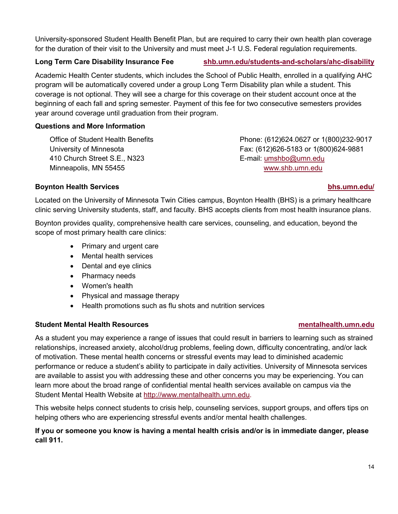University-sponsored Student Health Benefit Plan, but are required to carry their own health plan coverage for the duration of their visit to the University and must meet J-1 U.S. Federal regulation requirements.

## **Long Term Care Disability Insurance Fee [shb.umn.edu/students-and-scholars/ahc-disability](https://shb.umn.edu/students-and-scholars/ahc-disability)**

Academic Health Center students, which includes the School of Public Health, enrolled in a qualifying AHC program will be automatically covered under a group Long Term Disability plan while a student. This coverage is not optional. They will see a charge for this coverage on their student account once at the beginning of each fall and spring semester. Payment of this fee for two consecutive semesters provides year around coverage until graduation from their program.

#### **Questions and More Information**

Office of Student Health Benefits University of Minnesota 410 Church Street S.E., N323 Minneapolis, MN 55455

Phone: (612)624.0627 or 1(800)232-9017 Fax: (612)626-5183 or 1(800)624-9881 E-mail: [umshbo@umn.edu](mailto:umshbo@umn.edu) [www.shb.umn.edu](http://www.shb.umn.edu/) 

#### **Boynton Health Services [bhs.umn.edu/](http://www.bhs.umn.edu/)**

Located on the University of Minnesota Twin Cities campus, Boynton Health (BHS) is a primary healthcare clinic serving University students, staff, and faculty. BHS accepts clients from most health insurance plans.

Boynton provides quality, comprehensive health care services, counseling, and education, beyond the scope of most primary health care clinics:

- Primary and urgent care
- Mental health services
- Dental and eye clinics
- Pharmacy needs
- Women's health
- Physical and massage therapy
- Health promotions such as flu shots and nutrition services

#### **Student Mental Health Resources [mentalhealth.umn.edu](http://www.mentalhealth.umn.edu/)**

As a student you may experience a range of issues that could result in barriers to learning such as strained relationships, increased anxiety, alcohol/drug problems, feeling down, difficulty concentrating, and/or lack of motivation. These mental health concerns or stressful events may lead to diminished academic performance or reduce a student's ability to participate in daily activities. University of Minnesota services are available to assist you with addressing these and other concerns you may be experiencing. You can learn more about the broad range of confidential mental health services available on campus via the Student Mental Health Website at [http://www.mentalhealth.umn.edu.](http://www.mentalhealth.umn.edu/)

This website helps connect students to crisis help, counseling services, support groups, and offers tips on helping others who are experiencing stressful events and/or mental health challenges.

### **If you or someone you know is having a mental health crisis and/or is in immediate danger, please call 911.**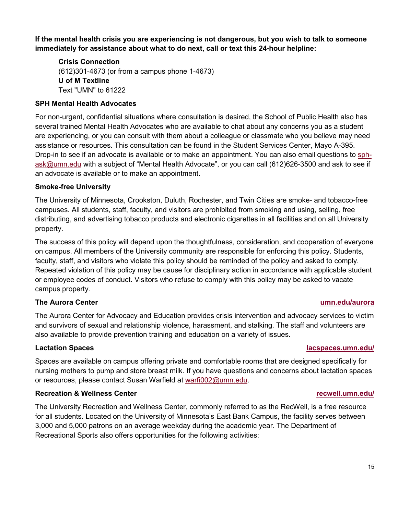**If the mental health crisis you are experiencing is not dangerous, but you wish to talk to someone immediately for assistance about what to do next, call or text this 24-hour helpline:**

**Crisis Connection**  (612)301-4673 (or from a campus phone 1-4673) **U of M Textline**  Text "UMN" to 61222

#### **SPH Mental Health Advocates**

For non-urgent, confidential situations where consultation is desired, the School of Public Health also has several trained Mental Health Advocates who are available to chat about any concerns you as a student are experiencing, or you can consult with them about a colleague or classmate who you believe may need assistance or resources. This consultation can be found in the Student Services Center, Mayo A-395. Drop-in to see if an advocate is available or to make an appointment. You can also email questions to [sph](mailto:sph-ask@umn.edu)[ask@umn.edu](mailto:sph-ask@umn.edu) with a subject of "Mental Health Advocate", or you can call (612)626-3500 and ask to see if an advocate is available or to make an appointment.

#### **Smoke-free University**

The University of Minnesota, Crookston, Duluth, Rochester, and Twin Cities are smoke- and tobacco-free campuses. All students, staff, faculty, and visitors are prohibited from smoking and using, selling, free distributing, and advertising tobacco products and electronic cigarettes in all facilities and on all University property.

The success of this policy will depend upon the thoughtfulness, consideration, and cooperation of everyone on campus. All members of the University community are responsible for enforcing this policy. Students, faculty, staff, and visitors who violate this policy should be reminded of the policy and asked to comply. Repeated violation of this policy may be cause for disciplinary action in accordance with applicable student or employee codes of conduct. Visitors who refuse to comply with this policy may be asked to vacate campus property.

#### **The Aurora Center [umn.edu/aurora](http://www.umn.edu/aurora)**

The Aurora Center for Advocacy and Education provides crisis intervention and advocacy services to victim and survivors of sexual and relationship violence, harassment, and stalking. The staff and volunteers are also available to provide prevention training and education on a variety of issues.

Spaces are available on campus offering private and comfortable rooms that are designed specifically for nursing mothers to pump and store breast milk. If you have questions and concerns about lactation spaces or resources, please contact Susan Warfield at [warfi002@umn.edu.](mailto:warfi002@umn.edu)

#### **Recreation & Wellness Center [recwell.umn.edu/](http://recwell.umn.edu/)**

The University Recreation and Wellness Center, commonly referred to as the RecWell, is a free resource for all students. Located on the University of Minnesota's East Bank Campus, the facility serves between 3,000 and 5,000 patrons on an average weekday during the academic year. The Department of Recreational Sports also offers opportunities for the following activities:

#### **Lactation Spaces [lacspaces.umn.edu/](http://lacspaces.umn.edu/)**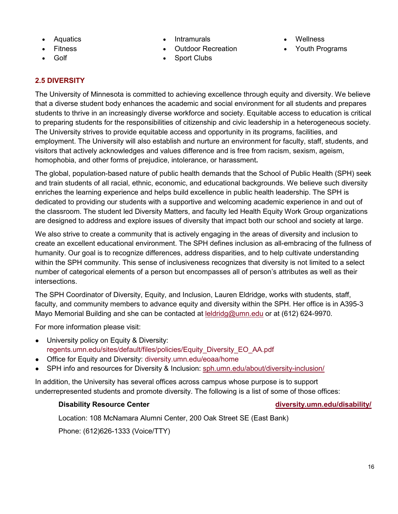- Aquatics
- Fitness
- Golf
- **Intramurals**
- Outdoor Recreation
- Sport Clubs
- **Wellness**
- Youth Programs

# **2.5 DIVERSITY**

The University of Minnesota is committed to achieving excellence through equity and diversity. We believe that a diverse student body enhances the academic and social environment for all students and prepares students to thrive in an increasingly diverse workforce and society. Equitable access to education is critical to preparing students for the responsibilities of citizenship and civic leadership in a heterogeneous society. The University strives to provide equitable access and opportunity in its programs, facilities, and employment. The University will also establish and nurture an environment for faculty, staff, students, and visitors that actively acknowledges and values difference and is free from racism, sexism, ageism, homophobia, and other forms of prejudice, intolerance, or harassment**.**

The global, population-based nature of public health demands that the School of Public Health (SPH) seek and train students of all racial, ethnic, economic, and educational backgrounds. We believe such diversity enriches the learning experience and helps build excellence in public health leadership. The SPH is dedicated to providing our students with a supportive and welcoming academic experience in and out of the classroom. The student led Diversity Matters, and faculty led Health Equity Work Group organizations are designed to address and explore issues of diversity that impact both our school and society at large.

We also strive to create a community that is actively engaging in the areas of diversity and inclusion to create an excellent educational environment. The SPH defines inclusion as all-embracing of the fullness of humanity. Our goal is to recognize differences, address disparities, and to help cultivate understanding within the SPH community. This sense of inclusiveness recognizes that diversity is not limited to a select number of categorical elements of a person but encompasses all of person's attributes as well as their intersections.

The SPH Coordinator of Diversity, Equity, and Inclusion, Lauren Eldridge, works with students, staff, faculty, and community members to advance equity and diversity within the SPH. Her office is in A395-3 Mayo Memorial Building and she can be contacted at leldridg@umn.edu or at (612) 624-9970.

For more information please visit:

- University policy on Equity & Diversity: [regents.umn.edu/sites/default/files/policies/Equity\\_Diversity\\_EO\\_AA.pdf](http://regents.umn.edu/sites/default/files/policies/Equity_Diversity_EO_AA.pdf)
- Office for Equity and Diversity: [diversity.umn.edu/eoaa/home](https://diversity.umn.edu/eoaa/home)
- SPH info and resources for Diversity & Inclusion: [sph.umn.edu/about/diversity-inclusion/](http://www.sph.umn.edu/about/diversity-inclusion/)

In addition, the University has several offices across campus whose purpose is to support underrepresented students and promote diversity. The following is a list of some of those offices:

#### **Disability Resource Center [diversity.umn.edu/disability/](https://diversity.umn.edu/disability/)**

Location: 108 McNamara Alumni Center, 200 Oak Street SE (East Bank)

Phone: (612)626-1333 (Voice/TTY)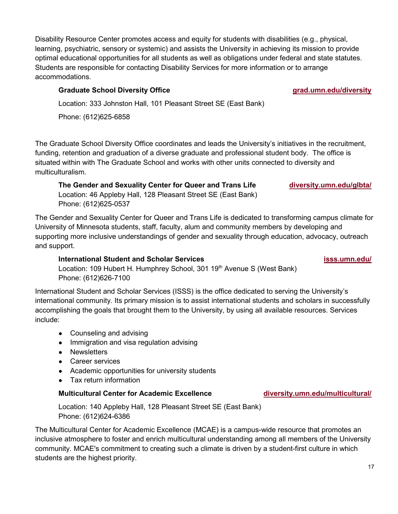Disability Resource Center promotes access and equity for students with disabilities (e.g., physical, learning, psychiatric, sensory or systemic) and assists the University in achieving its mission to provide optimal educational opportunities for all students as well as obligations under federal and state statutes. Students are responsible for contacting Disability Services for more information or to arrange accommodations.

# **Graduate School Diversity Office [grad.umn.edu/diversity](https://www.grad.umn.edu/diversity)**

Location: 333 Johnston Hall, 101 Pleasant Street SE (East Bank)

Phone: (612)625-6858

The Graduate School Diversity Office coordinates and leads the University's initiatives in the recruitment, funding, retention and graduation of a diverse graduate and professional student body. The office is situated within with The Graduate School and works with other units connected to diversity and multiculturalism.

**The Gender and Sexuality Center for Queer and Trans Life <b>[diversity.umn.edu/glbta/](https://diversity.umn.edu/glbta/)** Location: 46 Appleby Hall, 128 Pleasant Street SE (East Bank) Phone: (612)625-0537

The Gender and Sexuality Center for Queer and Trans Life is dedicated to transforming campus climate for University of Minnesota students, staff, faculty, alum and community members by developing and supporting more inclusive understandings of gender and sexuality through education, advocacy, outreach and support.

# **International Student and Scholar Services [isss.umn.edu/](http://www.isss.umn.edu/)**

Location: 109 Hubert H. Humphrey School, 301 19<sup>th</sup> Avenue S (West Bank) Phone: (612)626-7100

International Student and Scholar Services (ISSS) is the office dedicated to serving the University's international community. Its primary mission is to assist international students and scholars in successfully accomplishing the goals that brought them to the University, by using all available resources. Services include:

- Counseling and advising
- Immigration and visa regulation advising
- Newsletters
- Career services
- Academic opportunities for university students
- Tax return information

### **Multicultural Center for Academic Excellence [diversity.umn.edu/multicultural/](https://diversity.umn.edu/multicultural/)**

Location: 140 Appleby Hall, 128 Pleasant Street SE (East Bank) Phone: (612)624-6386

The Multicultural Center for Academic Excellence (MCAE) is a campus-wide resource that promotes an inclusive atmosphere to foster and enrich multicultural understanding among all members of the University community. MCAE's commitment to creating such a climate is driven by a student-first culture in which students are the highest priority.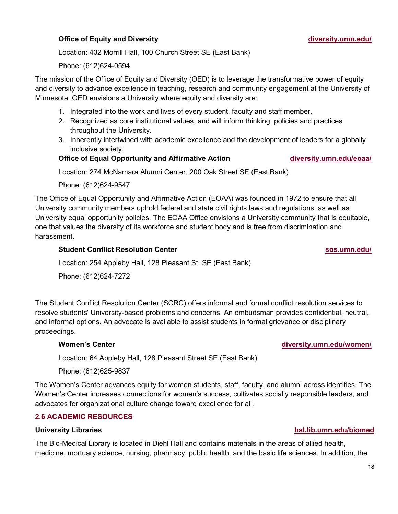### **Office of Equity and Diversity [diversity.umn.edu/](https://diversity.umn.edu/)**

Location: 432 Morrill Hall, 100 Church Street SE (East Bank)

Phone: (612)624-0594

The mission of the Office of Equity and Diversity (OED) is to leverage the transformative power of equity and diversity to advance excellence in teaching, research and community engagement at the University of Minnesota. OED envisions a University where equity and diversity are:

- 1. Integrated into the work and lives of every student, faculty and staff member.
- 2. Recognized as core institutional values, and will inform thinking, policies and practices throughout the University.
- 3. Inherently intertwined with academic excellence and the development of leaders for a globally inclusive society.

#### **Office of Equal Opportunity and Affirmative Action [diversity.umn.edu/eoaa/](https://diversity.umn.edu/eoaa/)**

Location: 274 McNamara Alumni Center, 200 Oak Street SE (East Bank)

Phone: (612)624-9547

The Office of Equal Opportunity and Affirmative Action (EOAA) was founded in 1972 to ensure that all University community members uphold federal and state civil rights laws and regulations, as well as University equal opportunity policies. The EOAA Office envisions a University community that is equitable, one that values the diversity of its workforce and student body and is free from discrimination and harassment.

### **Student Conflict Resolution Center [sos.umn.edu/](http://www.sos.umn.edu/)**

Location: 254 Appleby Hall, 128 Pleasant St. SE (East Bank)

Phone: (612)624-7272

The Student Conflict Resolution Center (SCRC) offers informal and formal conflict resolution services to resolve students' University-based problems and concerns. An ombudsman provides confidential, neutral, and informal options. An advocate is available to assist students in formal grievance or disciplinary proceedings.

#### **Women's Center [diversity.umn.edu/women/](https://diversity.umn.edu/women/)**

Location: 64 Appleby Hall, 128 Pleasant Street SE (East Bank)

Phone: (612)625-9837

The Women's Center advances equity for women students, staff, faculty, and alumni across identities. The Women's Center increases connections for women's success, cultivates socially responsible leaders, and advocates for organizational culture change toward excellence for all.

### **2.6 ACADEMIC RESOURCES**

The Bio-Medical Library is located in Diehl Hall and contains materials in the areas of allied health, medicine, mortuary science, nursing, pharmacy, public health, and the basic life sciences. In addition, the

#### **University Libraries [hsl.lib.umn.edu/biomed](http://hsl.lib.umn.edu/biomed)**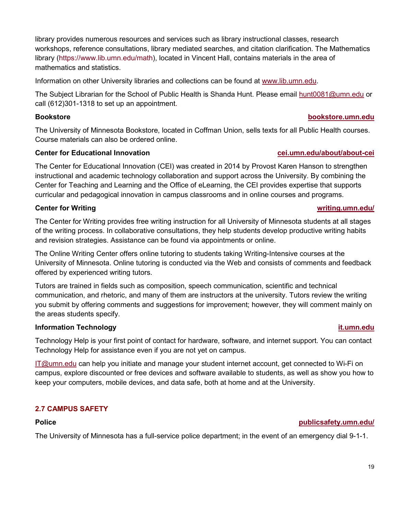library provides numerous resources and services such as library instructional classes, research workshops, reference consultations, library mediated searches, and citation clarification. The Mathematics library [\(https://www.lib.umn.edu/math\)](https://www.lib.umn.edu/math), located in Vincent Hall, contains materials in the area of mathematics and statistics.

Information on other University libraries and collections can be found at [www.lib.umn.edu.](http://www.lib.umn.edu/)

The Subject Librarian for the School of Public Health is Shanda Hunt. Please email [hunt0081@umn.edu](mailto:hunt0081@umn.edu) or call (612)301-1318 to set up an appointment.

#### **Bookstore [bookstore.umn.edu](http://www.bookstore.umn.edu/)**

The University of Minnesota Bookstore, located in Coffman Union, sells texts for all Public Health courses. Course materials can also be ordered online.

#### **Center for Educational Innovation [cei.umn.edu/about/about-cei](http://cei.umn.edu/about/about-cei)**

The Center for Educational Innovation (CEI) was created in 2014 by Provost Karen Hanson to strengthen instructional and academic technology collaboration and support across the University. By combining the Center for Teaching and Learning and the Office of eLearning, the CEI provides expertise that supports curricular and pedagogical innovation in campus classrooms and in online courses and programs.

#### **Center for Writing [writing.umn.edu/](http://writing.umn.edu/)**

The Center for Writing provides free writing instruction for all University of Minnesota students at all stages of the writing process. In [collaborative consultations,](http://writing.umn.edu/sws/appointments.htm) they help students develop productive writing habits and revision strategies. Assistance can be found via appointments or online.

The Online Writing Center offers online tutoring to students taking Writing-Intensive courses at the University of Minnesota. Online tutoring is conducted via the Web and consists of comments and feedback offered by experienced writing tutors.

Tutors are trained in fields such as composition, speech communication, scientific and technical communication, and rhetoric, and many of them are instructors at the university. Tutors review the writing you submit by offering comments and suggestions for improvement; however, they will comment mainly on the areas students specify.

#### **Information Technology [it.umn.edu](https://it.umn.edu/students)**

Technology Help is your first point of contact for hardware, software, and internet support. You can contact Technology Help for assistance even if you are not yet on campus.

[IT@umn.edu](mailto:IT@umn.edu) can help you initiate and manage your student internet account, get connected to Wi-Fi on campus, explore discounted or free devices and software available to students, as well as show you how to keep your computers, mobile devices, and data safe, both at home and at the University.

#### **2.7 CAMPUS SAFETY**

### **Police [publicsafety.umn.edu/](https://publicsafety.umn.edu/)**

The University of Minnesota has a full-service police department; in the event of an emergency dial 9-1-1.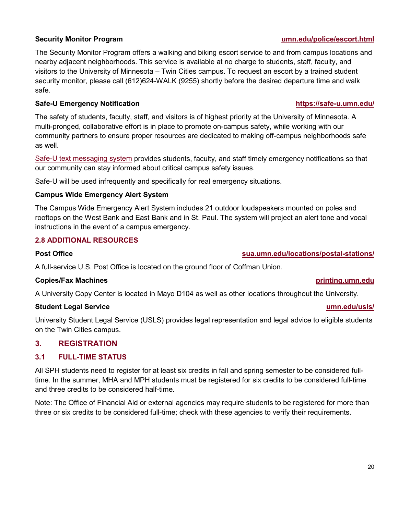The Security Monitor Program offers a walking and biking escort service to and from campus locations and nearby adjacent neighborhoods. This service is available at no charge to students, staff, faculty, and visitors to the University of Minnesota – Twin Cities campus. To request an escort by a trained student security monitor, please call (612)624-WALK (9255) shortly before the desired departure time and walk safe.

#### **Safe-U Emergency Notification <https://safe-u.umn.edu/>**

The safety of students, faculty, staff, and visitors is of highest priority at the University of Minnesota. A multi-pronged, collaborative effort is in place to promote on-campus safety, while working with our community partners to ensure proper resources are dedicated to making off-campus neighborhoods safe as well.

[Safe-U](https://www.uservices.umn.edu/self-help-guide/self-help-guide-safe-u-alerts) [text messaging system](https://www.uservices.umn.edu/self-help-guide/self-help-guide-safe-u-alerts) provides students, faculty, and staff timely emergency notifications so that our community can stay informed about critical campus safety issues.

Safe-U will be used infrequently and specifically for real emergency situations.

#### **Campus Wide Emergency Alert System**

The Campus Wide Emergency Alert System includes 21 outdoor loudspeakers mounted on poles and rooftops on the West Bank and East Bank and in St. Paul. The system will project an alert tone and vocal instructions in the event of a campus emergency.

#### **2.8 ADDITIONAL RESOURCES**

### **Post Office [sua.umn.edu/locations/postal-stations/](http://sua.umn.edu/locations/postal-stations/)**

A full-service U.S. Post Office is located on the ground floor of Coffman Union.

#### **Copies/Fax Machines [printing.umn.edu](http://www.printing.umn.edu/)**

A University Copy Center is located in Mayo D104 as well as other locations throughout the University.

#### **Student Legal Service [umn.edu/usls/](http://www.umn.edu/usls/)**

University Student Legal Service (USLS) provides legal representation and legal advice to eligible students on the Twin Cities campus.

#### **3. REGISTRATION**

#### **3.1 FULL-TIME STATUS**

All SPH students need to register for at least six credits in fall and spring semester to be considered fulltime. In the summer, MHA and MPH students must be registered for six credits to be considered full-time and three credits to be considered half-time.

Note: The Office of Financial Aid or external agencies may require students to be registered for more than three or six credits to be considered full-time; check with these agencies to verify their requirements.

#### **Security Monitor Program [umn.edu/police/escort.html](https://publicsafety.umn.edu/home/security)**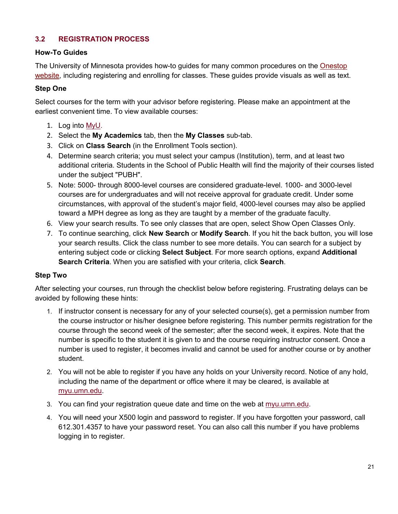# **3.2 REGISTRATION PROCESS**

#### **How-To Guides**

The University of Minnesota provides how-to guides for many common procedures on the [Onestop](https://onestop.umn.edu/how-guides)  [website,](https://onestop.umn.edu/how-guides) including registering and enrolling for classes. These guides provide visuals as well as text.

#### **Step One**

Select courses for the term with your advisor before registering. Please make an appointment at the earliest convenient time. To view available courses:

- 1. Log into [MyU.](http://myu.umn.edu/)
- 2. Select the **My Academics** tab, then the **My Classes** sub-tab.
- 3. Click on **Class Search** (in the Enrollment Tools section).
- 4. Determine search criteria; you must select your campus (Institution), term, and at least two additional criteria. Students in the School of Public Health will find the majority of their courses listed under the subject "PUBH".
- 5. Note: 5000- through 8000-level courses are considered graduate-level. 1000- and 3000-level courses are for undergraduates and will not receive approval for graduate credit. Under some circumstances, with approval of the student's major field, 4000-level courses may also be applied toward a MPH degree as long as they are taught by a member of the graduate faculty.
- 6. View your search results. To see only classes that are open, select Show Open Classes Only.
- 7. To continue searching, click **New Search** or **Modify Search**. If you hit the back button, you will lose your search results. Click the class number to see more details. You can search for a subject by entering subject code or clicking **Select Subject**. For more search options, expand **Additional Search Criteria**. When you are satisfied with your criteria, click **Search**.

### **Step Two**

After selecting your courses, run through the checklist below before registering. Frustrating delays can be avoided by following these hints:

- 1. If instructor consent is necessary for any of your selected course(s), get a permission number from the course instructor or his/her designee before registering. This number permits registration for the course through the second week of the semester; after the second week, it expires. Note that the number is specific to the student it is given to and the course requiring instructor consent. Once a number is used to register, it becomes invalid and cannot be used for another course or by another student.
- 2. You will not be able to register if you have any holds on your University record. Notice of any hold, including the name of the department or office where it may be cleared, is available at [myu.umn.edu.](http://myu.umn.edu/)
- 3. You can find your registration queue date and time on the web at [myu.umn.edu.](http://myu.umn.edu/)
- 4. You will need your X500 login and password to register. If you have forgotten your password, call 612.301.4357 to have your password reset. You can also call this number if you have problems logging in to register.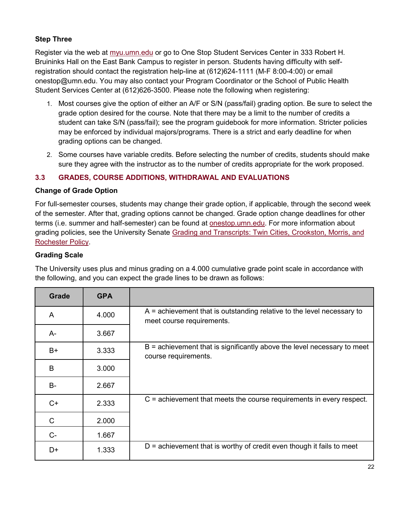# **Step Three**

Register via the web at [myu.umn.edu](http://myu.umn.edu/) or go to One Stop Student Services Center in 333 Robert H. Bruininks Hall on the East Bank Campus to register in person. Students having difficulty with selfregistration should contact the registration help-line at (612)624-1111 (M-F 8:00-4:00) or email [onestop@umn.edu.](mailto:onestop@umn.edu) You may also contact your Program Coordinator or the School of Public Health Student Services Center at (612)626-3500. Please note the following when registering:

- 1. Most courses give the option of either an A/F or S/N (pass/fail) grading option. Be sure to select the grade option desired for the course. Note that there may be a limit to the number of credits a student can take S/N (pass/fail); see the program guidebook for more information. Stricter policies may be enforced by individual majors/programs. There is a strict and early deadline for when grading options can be changed.
- 2. Some courses have variable credits. Before selecting the number of credits, students should make sure they agree with the instructor as to the number of credits appropriate for the work proposed.

### **3.3 GRADES, COURSE ADDITIONS, WITHDRAWAL AND EVALUATIONS**

#### **Change of Grade Option**

For full-semester courses, students may change their grade option, if applicable, through the second week of the semester. After that, grading options cannot be changed. Grade option change deadlines for other terms (i.e. summer and half-semester) can be found at [onestop.umn.edu.](http://onestop.umn.edu/) For more information about grading policies, see the University Senate Grading and Transcripts: Twin Cities, Crookston, Morris, and [Rochester Policy.](https://policy.umn.edu/education/gradingtranscripts)

#### **Grading Scale**

The University uses plus and minus grading on a 4.000 cumulative grade point scale in accordance with the following, and you can expect the grade lines to be drawn as follows:

| Grade     | <b>GPA</b> |                                                                                                       |
|-----------|------------|-------------------------------------------------------------------------------------------------------|
| A         | 4.000      | $A =$ achievement that is outstanding relative to the level necessary to<br>meet course requirements. |
| A-        | 3.667      |                                                                                                       |
| $B+$      | 3.333      | $B =$ achievement that is significantly above the level necessary to meet<br>course requirements.     |
| B         | 3.000      |                                                                                                       |
| <b>B-</b> | 2.667      |                                                                                                       |
| $C+$      | 2.333      | $C$ = achievement that meets the course requirements in every respect.                                |
| C         | 2.000      |                                                                                                       |
| $C-$      | 1.667      |                                                                                                       |
| D+        | 1.333      | $D =$ achievement that is worthy of credit even though it fails to meet                               |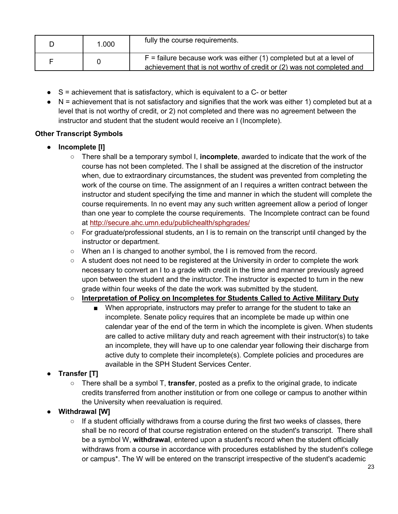| 1.000 | fully the course requirements.                                                                                                                 |
|-------|------------------------------------------------------------------------------------------------------------------------------------------------|
|       | $F =$ failure because work was either (1) completed but at a level of<br>achievement that is not worthy of credit or (2) was not completed and |

- $\bullet$  S = achievement that is satisfactory, which is equivalent to a C- or better
- $\bullet$  N = achievement that is not satisfactory and signifies that the work was either 1) completed but at a level that is not worthy of credit, or 2) not completed and there was no agreement between the instructor and student that the student would receive an I (Incomplete).

### **Other Transcript Symbols**

- **Incomplete [I]**
	- There shall be a temporary symbol I, **incomplete**, awarded to indicate that the work of the course has not been completed. The I shall be assigned at the discretion of the instructor when, due to extraordinary circumstances, the student was prevented from completing the work of the course on time. The assignment of an I requires a written contract between the instructor and student specifying the time and manner in which the student will complete the course requirements. In no event may any such written agreement allow a period of longer than one year to complete the course requirements. The Incomplete contract can be found at<http://secure.ahc.umn.edu/publichealth/sphgrades/>
	- For graduate/professional students, an I is to remain on the transcript until changed by the instructor or department.
	- When an I is changed to another symbol, the I is removed from the record.
	- A student does not need to be registered at the University in order to complete the work necessary to convert an I to a grade with credit in the time and manner previously agreed upon between the student and the instructor. The instructor is expected to turn in the new grade within four weeks of the date the work was submitted by the student.

### ○ **Interpretation of Policy on Incompletes for Students Called to Active Military Duty**

■ When appropriate, instructors may prefer to arrange for the student to take an incomplete. Senate policy requires that an incomplete be made up within one calendar year of the end of the term in which the incomplete is given. When students are called to active military duty and reach agreement with their instructor(s) to take an incomplete, they will have up to one calendar year following their discharge from active duty to complete their incomplete(s). Complete policies and procedures are available in the SPH Student Services Center.

### ● **Transfer [T]**

- There shall be a symbol T, **transfer**, posted as a prefix to the original grade, to indicate credits transferred from another institution or from one college or campus to another within the University when reevaluation is required.
- **Withdrawal [W]**
	- If a student officially withdraws from a course during the first two weeks of classes, there shall be no record of that course registration entered on the student's transcript. There shall be a symbol W, **withdrawal**, entered upon a student's record when the student officially withdraws from a course in accordance with procedures established by the student's college or campus\*. The W will be entered on the transcript irrespective of the student's academic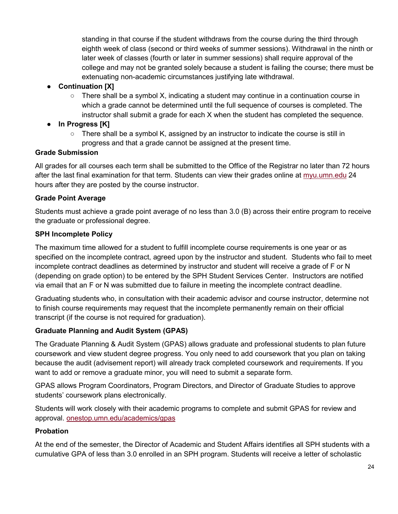standing in that course if the student withdraws from the course during the third through eighth week of class (second or third weeks of summer sessions). Withdrawal in the ninth or later week of classes (fourth or later in summer sessions) shall require approval of the college and may not be granted solely because a student is failing the course; there must be extenuating non-academic circumstances justifying late withdrawal.

# ● **Continuation [X]**

 $\circ$  There shall be a symbol X, indicating a student may continue in a continuation course in which a grade cannot be determined until the full sequence of courses is completed. The instructor shall submit a grade for each X when the student has completed the sequence.

# ● **In Progress [K]**

 $\circ$  There shall be a symbol K, assigned by an instructor to indicate the course is still in progress and that a grade cannot be assigned at the present time.

# **Grade Submission**

All grades for all courses each term shall be submitted to the Office of the Registrar no later than 72 hours after the last final examination for that term. Students can view their grades online at [myu.umn.edu](http://myu.umn.edu/) 24 hours after they are posted by the course instructor.

# **Grade Point Average**

Students must achieve a grade point average of no less than 3.0 (B) across their entire program to receive the graduate or professional degree.

# **SPH Incomplete Policy**

The maximum time allowed for a student to fulfill incomplete course requirements is one year or as specified on the incomplete contract, agreed upon by the instructor and student. Students who fail to meet incomplete contract deadlines as determined by instructor and student will receive a grade of F or N (depending on grade option) to be entered by the SPH Student Services Center. Instructors are notified via email that an F or N was submitted due to failure in meeting the incomplete contract deadline.

Graduating students who, in consultation with their academic advisor and course instructor, determine not to finish course requirements may request that the incomplete permanently remain on their official transcript (if the course is not required for graduation).

# **Graduate Planning and Audit System (GPAS)**

The Graduate Planning & Audit System (GPAS) allows graduate and professional students to plan future coursework and view student degree progress. You only need to add coursework that you plan on taking because the audit (advisement report) will already track completed coursework and requirements. If you want to add or remove a graduate minor, you will need to submit a separate form.

GPAS allows Program Coordinators, Program Directors, and Director of Graduate Studies to approve students' coursework plans electronically.

Students will work closely with their academic programs to complete and submit GPAS for review and approval. [onestop.umn.edu/academics/gpas](https://onestop.umn.edu/academics/gpas)

# **Probation**

At the end of the semester, the Director of Academic and Student Affairs identifies all SPH students with a cumulative GPA of less than 3.0 enrolled in an SPH program. Students will receive a letter of scholastic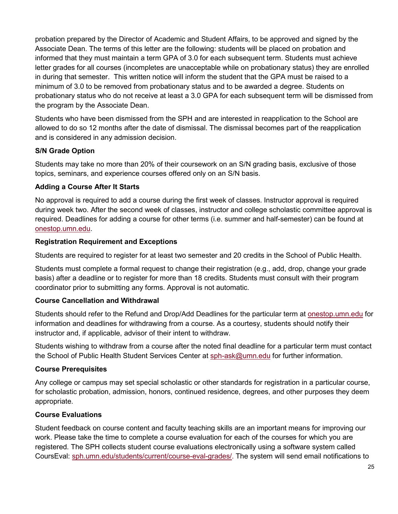probation prepared by the Director of Academic and Student Affairs, to be approved and signed by the Associate Dean. The terms of this letter are the following: students will be placed on probation and informed that they must maintain a term GPA of 3.0 for each subsequent term. Students must achieve letter grades for all courses (incompletes are unacceptable while on probationary status) they are enrolled in during that semester. This written notice will inform the student that the GPA must be raised to a minimum of 3.0 to be removed from probationary status and to be awarded a degree. Students on probationary status who do not receive at least a 3.0 GPA for each subsequent term will be dismissed from the program by the Associate Dean.

Students who have been dismissed from the SPH and are interested in reapplication to the School are allowed to do so 12 months after the date of dismissal. The dismissal becomes part of the reapplication and is considered in any admission decision.

# **S/N Grade Option**

Students may take no more than 20% of their coursework on an S/N grading basis, exclusive of those topics, seminars, and experience courses offered only on an S/N basis.

# **Adding a Course After It Starts**

No approval is required to add a course during the first week of classes. Instructor approval is required during week two. After the second week of classes, instructor and college scholastic committee approval is required. Deadlines for adding a course for other terms (i.e. summer and half-semester) can be found at [onestop.umn.edu.](http://onestop.umn.edu/)

### **Registration Requirement and Exceptions**

Students are required to register for at least two semester and 20 credits in the School of Public Health.

Students must complete a formal request to change their registration (e.g., add, drop, change your grade basis) after a deadline or to register for more than 18 credits. Students must consult with their program coordinator prior to submitting any forms. Approval is not automatic.

### **Course Cancellation and Withdrawal**

Students should refer to the Refund and Drop/Add Deadlines for the particular term at [onestop.umn.edu](http://onestop.umn.edu/) for information and deadlines for withdrawing from a course. As a courtesy, students should notify their instructor and, if applicable, advisor of their intent to withdraw.

Students wishing to withdraw from a course after the noted final deadline for a particular term must contact the School of Public Health Student Services Center at [sph-ask@umn.edu](mailto:sph-ask@umn.edu) for further information.

### **Course Prerequisites**

Any college or campus may set special scholastic or other standards for registration in a particular course, for scholastic probation, admission, honors, continued residence, degrees, and other purposes they deem appropriate.

# **Course Evaluations**

Student feedback on course content and faculty teaching skills are an important means for improving our work. Please take the time to complete a course evaluation for each of the courses for which you are registered. The SPH collects student course evaluations electronically using a software system called CoursEval: [sph.umn.edu/students/current/course-eval-grades/.](http://sph.umn.edu/students/current/course-eval-grades/) The system will send email notifications to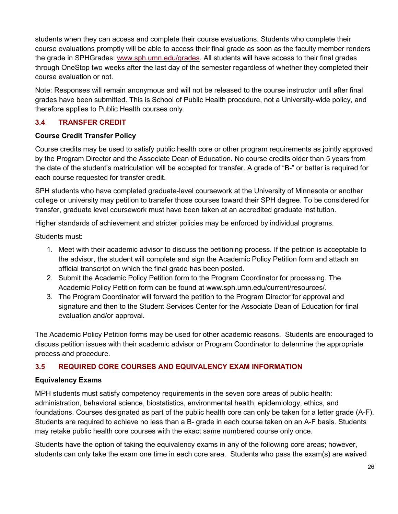students when they can access and complete their course evaluations. Students who complete their course evaluations promptly will be able to access their final grade as soon as the faculty member renders the grade in SPHGrades: [www.sph.umn.edu/grades.](http://www.sph.umn.edu/grades) All students will have access to their final grades through OneStop two weeks after the last day of the semester regardless of whether they completed their course evaluation or not.

Note: Responses will remain anonymous and will not be released to the course instructor until after final grades have been submitted. This is School of Public Health procedure, not a University-wide policy, and therefore applies to Public Health courses only.

# **3.4 TRANSFER CREDIT**

#### **Course Credit Transfer Policy**

Course credits may be used to satisfy public health core or other program requirements as jointly approved by the Program Director and the Associate Dean of Education. No course credits older than 5 years from the date of the student's matriculation will be accepted for transfer. A grade of "B-" or better is required for each course requested for transfer credit.

SPH students who have completed graduate-level coursework at the University of Minnesota or another college or university may petition to transfer those courses toward their SPH degree. To be considered for transfer, graduate level coursework must have been taken at an accredited graduate institution.

Higher standards of achievement and stricter policies may be enforced by individual programs.

Students must:

- 1. Meet with their academic advisor to discuss the petitioning process. If the petition is acceptable to the advisor, the student will complete and sign the Academic Policy Petition form and attach an official transcript on which the final grade has been posted.
- 2. Submit the Academic Policy Petition form to the Program Coordinator for processing. The Academic Policy Petition form can be found at [www.sph.umn.edu/current/resources/.](http://www.sph.umn.edu/current/resources/)
- 3. The Program Coordinator will forward the petition to the Program Director for approval and signature and then to the Student Services Center for the Associate Dean of Education for final evaluation and/or approval.

The Academic Policy Petition forms may be used for other academic reasons. Students are encouraged to discuss petition issues with their academic advisor or Program Coordinator to determine the appropriate process and procedure.

### **3.5 REQUIRED CORE COURSES AND EQUIVALENCY EXAM INFORMATION**

### **Equivalency Exams**

MPH students must satisfy competency requirements in the seven core areas of public health: administration, behavioral science, biostatistics, environmental health, epidemiology, ethics, and foundations. Courses designated as part of the public health core can only be taken for a letter grade (A-F). Students are required to achieve no less than a B- grade in each course taken on an A-F basis. Students may retake public health core courses with the exact same numbered course only once.

Students have the option of taking the equivalency exams in any of the following core areas; however, students can only take the exam one time in each core area. Students who pass the exam(s) are waived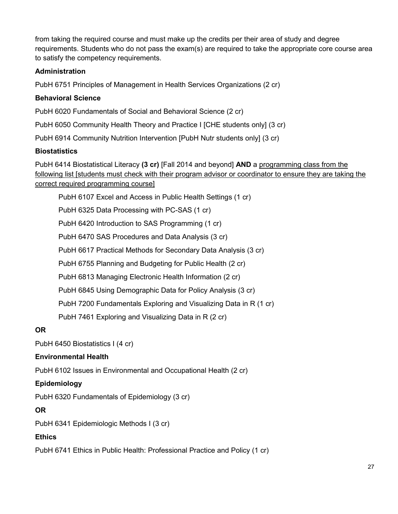from taking the required course and must make up the credits per their area of study and degree requirements. Students who do not pass the exam(s) are required to take the appropriate core course area to satisfy the competency requirements.

# **Administration**

PubH 6751 Principles of Management in Health Services Organizations (2 cr)

## **Behavioral Science**

PubH 6020 Fundamentals of Social and Behavioral Science (2 cr)

PubH 6050 Community Health Theory and Practice I [CHE students only] (3 cr)

PubH 6914 Community Nutrition Intervention [PubH Nutr students only] (3 cr)

### **Biostatistics**

PubH 6414 Biostatistical Literacy **(3 cr)** [Fall 2014 and beyond] **AND** a programming class from the following list [students must check with their program advisor or coordinator to ensure they are taking the correct required programming course]

PubH 6107 Excel and Access in Public Health Settings (1 cr)

PubH 6325 Data Processing with PC-SAS (1 cr)

PubH 6420 Introduction to SAS Programming (1 cr)

PubH 6470 SAS Procedures and Data Analysis (3 cr)

PubH 6617 Practical Methods for Secondary Data Analysis (3 cr)

PubH 6755 Planning and Budgeting for Public Health (2 cr)

PubH 6813 Managing Electronic Health Information (2 cr)

PubH 6845 Using Demographic Data for Policy Analysis (3 cr)

PubH 7200 Fundamentals Exploring and Visualizing Data in R (1 cr)

PubH 7461 Exploring and Visualizing Data in R (2 cr)

### **OR**

PubH 6450 Biostatistics I (4 cr)

### **Environmental Health**

PubH 6102 Issues in Environmental and Occupational Health (2 cr)

### **Epidemiology**

PubH 6320 Fundamentals of Epidemiology (3 cr)

### **OR**

PubH 6341 Epidemiologic Methods I (3 cr)

### **Ethics**

PubH 6741 Ethics in Public Health: Professional Practice and Policy (1 cr)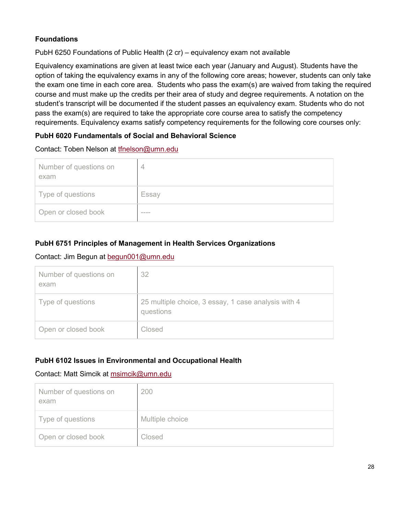# **Foundations**

PubH 6250 Foundations of Public Health (2 cr) – equivalency exam not available

Equivalency examinations are given at least twice each year (January and August). Students have the option of taking the equivalency exams in any of the following core areas; however, students can only take the exam one time in each core area. Students who pass the exam(s) are waived from taking the required course and must make up the credits per their area of study and degree requirements. A notation on the student's transcript will be documented if the student passes an equivalency exam. Students who do not pass the exam(s) are required to take the appropriate core course area to satisfy the competency requirements. Equivalency exams satisfy competency requirements for the following core courses only:

# **PubH 6020 Fundamentals of Social and Behavioral Science**

### Contact: Toben Nelson at [tfnelson@umn.edu](mailto:tfnelson@umn.edu)

| Number of questions on<br>exam |       |
|--------------------------------|-------|
| Type of questions              | Essay |
| Open or closed book            | ____  |

# **PubH 6751 Principles of Management in Health Services Organizations**

## Contact: Jim Begun at [begun001@umn.edu](mailto:begun001@umn.edu)

| Number of questions on<br>exam | 32                                                               |
|--------------------------------|------------------------------------------------------------------|
| Type of questions              | 25 multiple choice, 3 essay, 1 case analysis with 4<br>questions |
| Open or closed book            | Closed                                                           |

# **PubH 6102 Issues in Environmental and Occupational Health**

### Contact: Matt Simcik at msimcik@umn.edu

| Number of questions on<br>exam | 200             |
|--------------------------------|-----------------|
| Type of questions              | Multiple choice |
| Open or closed book            | Closed          |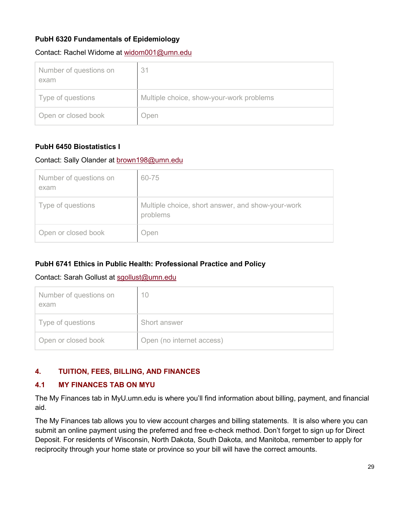# **PubH 6320 Fundamentals of Epidemiology**

#### Contact: Rachel Widome at [widom001@umn.edu](mailto:widom001@umn.edu)

| Number of questions on<br>exam | 31                                       |
|--------------------------------|------------------------------------------|
| Type of questions              | Multiple choice, show-your-work problems |
| Open or closed book            | Open                                     |

# **PubH 6450 Biostatistics I**

### Contact: Sally Olander at [brown198@umn.edu](mailto:brown198@umn.edu)

| Number of questions on<br>exam | 60-75                                                         |
|--------------------------------|---------------------------------------------------------------|
| Type of questions              | Multiple choice, short answer, and show-your-work<br>problems |
| Open or closed book            | Open                                                          |

# **PubH 6741 Ethics in Public Health: Professional Practice and Policy**

### Contact: Sarah Gollust at [sgollust@umn.edu](mailto:sgollust@umn.edu)

| Number of questions on<br>exam | 10                        |
|--------------------------------|---------------------------|
| Type of questions              | Short answer              |
| Open or closed book            | Open (no internet access) |

### **4. TUITION, FEES, BILLING, AND FINANCES**

### **4.1 MY FINANCES TAB ON MYU**

The My Finances tab in MyU.umn.edu is where you'll find information about billing, payment, and financial aid.

The My Finances tab allows you to view account charges and billing statements. It is also where you can submit an online payment using the preferred and free e-check method. Don't forget to sign up for Direct Deposit. For residents of Wisconsin, North Dakota, South Dakota, and Manitoba, remember to apply for reciprocity through your home state or province so your bill will have the correct amounts.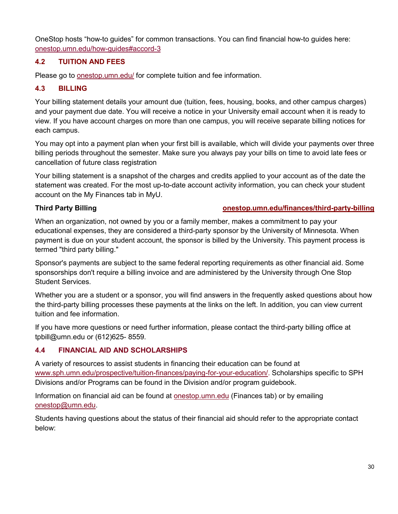OneStop hosts "how-to guides" for common transactions. You can find financial how-to guides here: [onestop.umn.edu/how-guides#accord-3](https://onestop.umn.edu/how-guides#accord-3)

# **4.2 TUITION AND FEES**

Please go to [onestop.umn.edu/](http://onestop.umn.edu/) for complete tuition and fee information.

## **4.3 BILLING**

Your billing statement details your amount due (tuition, fees, housing, books, and other campus charges) and your payment due date. You will receive a notice in your University email account when it is ready to view. If you have account charges on more than one campus, you will receive separate billing notices for each campus.

You may opt into a payment plan when your first bill is available, which will divide your payments over three billing periods throughout the semester. Make sure you always pay your bills on time to avoid late fees or cancellation of future class registration

Your billing statement is a snapshot of the charges and credits applied to your account as of the date the statement was created. For the most up-to-date account activity information, you can check your student account on the My Finances tab in MyU.

### **Third Party Billing [onestop.umn.edu/finances/third-party-billing](https://onestop.umn.edu/finances/third-party-billing)**

When an organization, not owned by you or a family member, makes a commitment to pay your educational expenses, they are considered a third-party sponsor by the University of Minnesota. When payment is due on your student account, the sponsor is billed by the University. This payment process is termed "third party billing."

Sponsor's payments are subject to the same federal reporting requirements as other financial aid. Some sponsorships don't require a billing invoice and are administered by the University through One Stop Student Services.

Whether you are a student or a sponsor, you will find answers in the frequently asked questions about how the third-party billing processes these payments at the links on the left. In addition, you can view [current](http://onestop.umn.edu/finances/costs_and_tuition/index.html)  [tuition and fee information.](http://onestop.umn.edu/finances/costs_and_tuition/index.html)

If you have more questions or need further information, please contact the third-party billing office at [tpbill@umn.edu](mailto:tpbill@umn.edu) or (612)625- 8559.

### **4.4 FINANCIAL AID AND SCHOLARSHIPS**

A variety of resources to assist students in financing their education can be found at [www.sph.umn.edu/prospective/tuition-finances/paying-for-your-education/.](http://www.sph.umn.edu/prospective/tuition-finances/paying-for-your-education/) Scholarships specific to SPH Divisions and/or Programs can be found in the Division and/or program guidebook.

Information on financial aid can be found at **onestop.umn.edu** (Finances tab) or by emailing [onestop@umn.edu.](mailto:onestop@umn.edu)

Students having questions about the status of their financial aid should refer to the appropriate contact below: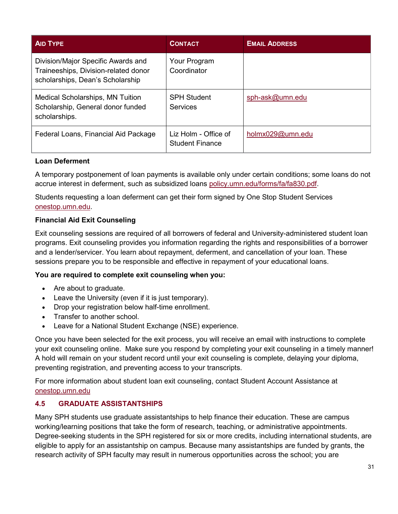| <b>AID TYPE</b>                                                                                                | <b>CONTACT</b>                          | <b>EMAIL ADDRESS</b> |
|----------------------------------------------------------------------------------------------------------------|-----------------------------------------|----------------------|
| Division/Major Specific Awards and<br>Traineeships, Division-related donor<br>scholarships, Dean's Scholarship | Your Program<br>Coordinator             |                      |
| Medical Scholarships, MN Tuition<br>Scholarship, General donor funded<br>scholarships.                         | <b>SPH Student</b><br><b>Services</b>   | sph-ask@umn.edu      |
| Federal Loans, Financial Aid Package                                                                           | Liz Holm - Office of<br>Student Finance | holmx029@umn.edu     |

#### **Loan Deferment**

A temporary postponement of loan payments is available only under certain conditions; some loans do not accrue interest in deferment, such as subsidized loans [policy.umn.edu/forms/fa/fa830.pdf.](http://policy.umn.edu/forms/fa/fa830.pdf)

Students requesting a loan deferment can get their form signed by One Stop Student Services [onestop.umn.edu.](http://onestop.umn.edu/contact_us/index.html)

### **Financial Aid Exit Counseling**

Exit counseling sessions are required of all borrowers of federal and University-administered student loan programs. Exit counseling provides you information regarding the rights and responsibilities of a borrower and a lender/servicer. You learn about repayment, deferment, and cancellation of your loan. These sessions prepare you to be responsible and effective in repayment of your educational loans.

### **You are required to complete exit counseling when you:**

- Are about to graduate.
- Leave the University (even if it is just temporary).
- Drop your registration below half-time enrollment.
- Transfer to another school.
- Leave for a National Student Exchange (NSE) experience.

Once you have been selected for the exit process, you will receive an email with instructions to complete your exit counseling online. Make sure you respond by completing your exit counseling in a timely manner! A hold will remain on your student record until your exit counseling is complete, delaying your diploma, preventing registration, and preventing access to your transcripts.

For more information about student loan exit counseling, contact [Student Account Assistance](http://onestop.umn.edu/contact_us/student_account_assistance.html) at [onestop.umn.edu](http://onestop.umn.edu/contact_us/student_account_assistance.html)

# **4.5 GRADUATE ASSISTANTSHIPS**

Many SPH students use graduate assistantships to help finance their education. These are campus working/learning positions that take the form of research, teaching, or administrative appointments. Degree-seeking students in the SPH registered for six or more credits, including international students, are eligible to apply for an assistantship on campus. Because many assistantships are funded by grants, the research activity of SPH faculty may result in numerous opportunities across the school; you are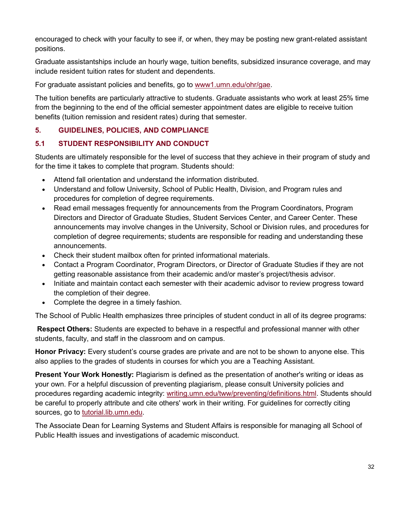encouraged to check with your faculty to see if, or when, they may be posting new grant-related assistant positions.

Graduate assistantships include an hourly wage, tuition benefits, subsidized insurance coverage, and may include resident tuition rates for student and dependents.

For graduate assistant policies and benefits, go to [www1.umn.edu/ohr/gae.](http://www1.umn.edu/ohr/gae/)

The tuition benefits are particularly attractive to students. Graduate assistants who work at least 25% time from the beginning to the end of the official semester appointment dates are eligible to receive tuition benefits (tuition remission and resident rates) during that semester.

#### **5. GUIDELINES, POLICIES, AND COMPLIANCE**

#### **5.1 STUDENT RESPONSIBILITY AND CONDUCT**

Students are ultimately responsible for the level of success that they achieve in their program of study and for the time it takes to complete that program. Students should:

- Attend fall orientation and understand the information distributed.
- Understand and follow University, School of Public Health, Division, and Program rules and procedures for completion of degree requirements.
- Read email messages frequently for announcements from the Program Coordinators, Program Directors and Director of Graduate Studies, Student Services Center, and Career Center. These announcements may involve changes in the University, School or Division rules, and procedures for completion of degree requirements; students are responsible for reading and understanding these announcements.
- Check their student mailbox often for printed informational materials.
- Contact a Program Coordinator, Program Directors, or Director of Graduate Studies if they are not getting reasonable assistance from their academic and/or master's project/thesis advisor.
- Initiate and maintain contact each semester with their academic advisor to review progress toward the completion of their degree.
- Complete the degree in a timely fashion.

The School of Public Health emphasizes three principles of student conduct in all of its degree programs:

**Respect Others:** Students are expected to behave in a respectful and professional manner with other students, faculty, and staff in the classroom and on campus.

**Honor Privacy:** Every student's course grades are private and are not to be shown to anyone else. This also applies to the grades of students in courses for which you are a Teaching Assistant.

**Present Your Work Honestly:** Plagiarism is defined as the presentation of another's writing or ideas as your own. For a helpful discussion of preventing plagiarism, please consult University policies and procedures regarding academic integrity: [writing.umn.edu/tww/preventing/definitions.html.](http://writing.umn.edu/tww/preventing/definitions.html) Students should be careful to properly attribute and cite others' work in their writing. For guidelines for correctly citing sources, go to [tutorial.lib.umn.edu.](http://tutorial.lib.umn.edu/)

The Associate Dean for Learning Systems and Student Affairs is responsible for managing all School of Public Health issues and investigations of academic misconduct.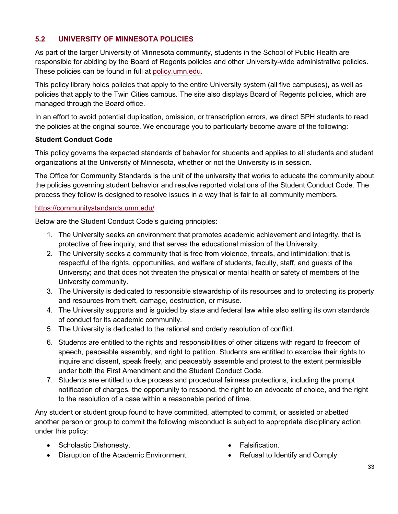# **5.2 UNIVERSITY OF MINNESOTA POLICIES**

As part of the larger University of Minnesota community, students in the School of Public Health are responsible for abiding by the Board of Regents policies and other University-wide administrative policies. These policies can be found in full at [policy.umn.edu.](http://policy.umn.edu/)

This policy library holds policies that apply to the entire University system (all five campuses), as well as policies that apply to the Twin Cities campus. The site also displays Board of Regents policies, which are managed through the Board office.

In an effort to avoid potential duplication, omission, or transcription errors, we direct SPH students to read the policies at the original source. We encourage you to particularly become aware of the following:

#### **Student Conduct Code**

This policy governs the expected standards of behavior for students and applies to all students and student organizations at the University of Minnesota, whether or not the University is in session.

The Office for Community Standards is the unit of the university that works to educate the community about the policies governing student behavior and resolve reported violations of the Student Conduct Code. The process they follow is designed to resolve issues in a way that is fair to all community members.

#### <https://communitystandards.umn.edu/>

Below are the Student Conduct Code's guiding principles:

- 1. The University seeks an environment that promotes academic achievement and integrity, that is protective of free inquiry, and that serves the educational mission of the University.
- 2. The University seeks a community that is free from violence, threats, and intimidation; that is respectful of the rights, opportunities, and welfare of students, faculty, staff, and guests of the University; and that does not threaten the physical or mental health or safety of members of the University community.
- 3. The University is dedicated to responsible stewardship of its resources and to protecting its property and resources from theft, damage, destruction, or misuse.
- 4. The University supports and is guided by state and federal law while also setting its own standards of conduct for its academic community.
- 5. The University is dedicated to the rational and orderly resolution of conflict.
- 6. Students are entitled to the rights and responsibilities of other citizens with regard to freedom of speech, peaceable assembly, and right to petition. Students are entitled to exercise their rights to inquire and dissent, speak freely, and peaceably assemble and protest to the extent permissible under both the First Amendment and the Student Conduct Code.
- 7. Students are entitled to due process and procedural fairness protections, including the prompt notification of charges, the opportunity to respond, the right to an advocate of choice, and the right to the resolution of a case within a reasonable period of time.

Any student or student group found to have committed, attempted to commit, or assisted or abetted another person or group to commit the following misconduct is subject to appropriate disciplinary action under this policy:

- Scholastic Dishonesty.
- Disruption of the Academic Environment.
- Falsification.
- Refusal to Identify and Comply.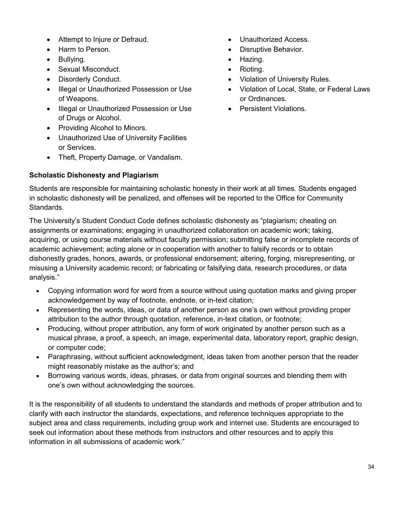- Attempt to Injure or Defraud.
- Harm to Person.
- Bullying.
- Sexual Misconduct.
- Disorderly Conduct.
- Illegal or Unauthorized Possession or Use of Weapons.
- Illegal or Unauthorized Possession or Use of Drugs or Alcohol.
- Providing Alcohol to Minors.
- Unauthorized Use of University Facilities or Services.
- Theft, Property Damage, or Vandalism.

# **Scholastic Dishonesty and Plagiarism**

- Unauthorized Access.
- Disruptive Behavior.
- Hazing.
- Rioting.
- Violation of University Rules.
- Violation of Local, State, or Federal Laws or Ordinances.
- Persistent Violations.

Students are responsible for maintaining scholastic honesty in their work at all times. Students engaged in scholastic dishonesty will be penalized, and offenses will be reported to the Office for Community Standards.

The University's Student Conduct Code defines scholastic dishonesty as "plagiarism; cheating on assignments or examinations; engaging in unauthorized collaboration on academic work; taking, acquiring, or using course materials without faculty permission; submitting false or incomplete records of academic achievement; acting alone or in cooperation with another to falsify records or to obtain dishonestly grades, honors, awards, or professional endorsement; altering, forging, misrepresenting, or misusing a University academic record; or fabricating or falsifying data, research procedures, or data analysis."

- Copying information word for word from a source without using quotation marks and giving proper acknowledgement by way of footnote, endnote, or in-text citation;
- Representing the words, ideas, or data of another person as one's own without providing proper attribution to the author through quotation, reference, in-text citation, or footnote;
- Producing, without proper attribution, any form of work originated by another person such as a musical phrase, a proof, a speech, an image, experimental data, laboratory report, graphic design, or computer code;
- Paraphrasing, without sufficient acknowledgment, ideas taken from another person that the reader might reasonably mistake as the author's; and
- Borrowing various words, ideas, phrases, or data from original sources and blending them with one's own without acknowledging the sources.

It is the responsibility of all students to understand the standards and methods of proper attribution and to clarify with each instructor the standards, expectations, and reference techniques appropriate to the subject area and class requirements, including group work and internet use. Students are encouraged to seek out information about these methods from instructors and other resources and to apply this information in all submissions of academic work."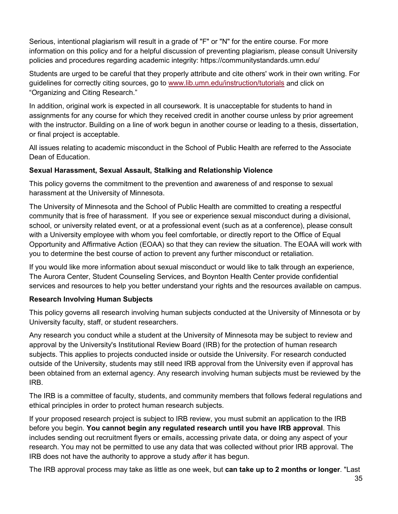Serious, intentional plagiarism will result in a grade of "F" or "N" for the entire course. For more information on this policy and for a helpful discussion of preventing plagiarism, please consult University policies and procedures regarding academic integrity: https://communitystandards.umn.edu/

Students are urged to be careful that they properly attribute and cite others' work in their own writing. For guidelines for correctly citing sources, go to [www.lib.umn.edu/instruction/tutorials](https://www.lib.umn.edu/instruction/tutorials) and click on ["Organizing and Citing Research.](https://www.lib.umn.edu/instruction/tutorials#citing)"

In addition, original work is expected in all coursework. It is unacceptable for students to hand in assignments for any course for which they received credit in another course unless by prior agreement with the instructor. Building on a line of work begun in another course or leading to a thesis, dissertation, or final project is acceptable.

All issues relating to academic misconduct in the School of Public Health are referred to the Associate Dean of Education.

### **Sexual Harassment, Sexual Assault, Stalking and Relationship Violence**

This policy governs the commitment to the prevention and awareness of and response to sexual harassment at the University of Minnesota.

The University of Minnesota and the School of Public Health are committed to creating a respectful community that is free of harassment. If you see or experience sexual misconduct during a divisional, school, or university related event, or at a professional event (such as at a conference), please consult with a University employee with whom you feel comfortable, or directly report to the Office of Equal Opportunity and Affirmative Action (EOAA) so that they can review the situation. The EOAA will work with you to determine the best course of action to prevent any further misconduct or retaliation.

If you would like more information about sexual misconduct or would like to talk through an experience, The Aurora Center, Student Counseling Services, and Boynton Health Center provide confidential services and resources to help you better understand your rights and the resources available on campus.

# **Research Involving Human Subjects**

This policy governs all research involving human subjects conducted at the University of Minnesota or by University faculty, staff, or student researchers.

Any research you conduct while a student at the University of Minnesota may be subject to review and approval by the University's Institutional Review Board (IRB) for the protection of human research subjects. This applies to projects conducted inside or outside the University. For research conducted outside of the University, students may still need IRB approval from the University even if approval has been obtained from an external agency. Any research involving human subjects must be reviewed by the IRB.

The IRB is a committee of faculty, students, and community members that follows federal regulations and ethical principles in order to protect human research subjects.

If your proposed research project is subject to IRB review, you must submit an application to the IRB before you begin. **You cannot begin any regulated research until you have IRB approval**. This includes sending out recruitment flyers or emails, accessing private data, or doing any aspect of your research. You may not be permitted to use any data that was collected without prior IRB approval. The IRB does not have the authority to approve a study *after* it has begun.

The IRB approval process may take as little as one week, but **can take up to 2 months or longer**. "Last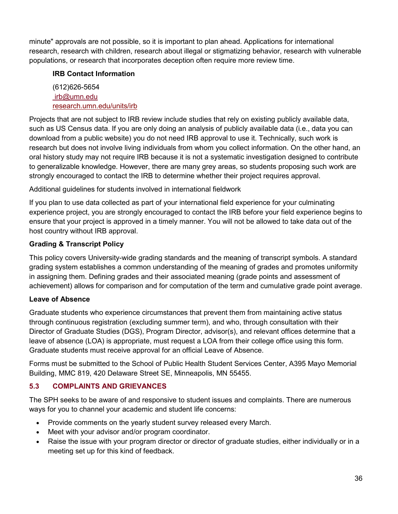minute" approvals are not possible, so it is important to plan ahead. Applications for international research, research with children, research about illegal or stigmatizing behavior, research with vulnerable populations, or research that incorporates deception often require more review time.

# **IRB Contact Information**

(612)626-5654 [irb@umn.edu](mailto:irb@umn.edu) [research.umn.edu/units/irb](http://research.umn.edu/units/irb)

Projects that are not subject to IRB review include studies that rely on existing publicly available data, such as US Census data. If you are only doing an analysis of publicly available data (i.e., data you can download from a public website) you do not need IRB approval to use it. Technically, such work is research but does not involve living individuals from whom you collect information. On the other hand, an oral history study may not require IRB because it is not a systematic investigation designed to contribute to generalizable knowledge. However, there are many grey areas, so students proposing such work are strongly encouraged to contact the IRB to determine whether their project requires approval.

Additional guidelines for students involved in international fieldwork

If you plan to use data collected as part of your international field experience for your culminating experience project, you are strongly encouraged to contact the IRB before your field experience begins to ensure that your project is approved in a timely manner. You will not be allowed to take data out of the host country without IRB approval.

# **Grading & Transcript Policy**

This policy covers University-wide grading standards and the meaning of transcript symbols. A standard grading system establishes a common understanding of the meaning of grades and promotes uniformity in assigning them. Defining grades and their associated meaning (grade points and assessment of achievement) allows for comparison and for computation of the term and cumulative grade point average.

# **Leave of Absence**

Graduate students who experience circumstances that prevent them from maintaining active status through continuous registration (excluding summer term), and who, through consultation with their Director of Graduate Studies (DGS), Program Director, advisor(s), and relevant offices determine that a leave of absence (LOA) is appropriate, must request a LOA from their college office using this form. Graduate students must receive approval for an official Leave of Absence.

Forms must be submitted to the School of Public Health Student Services Center, A395 Mayo Memorial Building, MMC 819, 420 Delaware Street SE, Minneapolis, MN 55455.

# **5.3 COMPLAINTS AND GRIEVANCES**

The SPH seeks to be aware of and responsive to student issues and complaints. There are numerous ways for you to channel your academic and student life concerns:

- Provide comments on the yearly student survey released every March.
- Meet with your advisor and/or program coordinator.
- Raise the issue with your program director or director of graduate studies, either individually or in a meeting set up for this kind of feedback.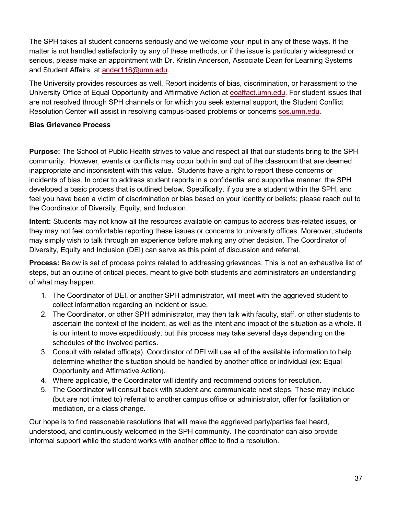The SPH takes all student concerns seriously and we welcome your input in any of these ways. If the matter is not handled satisfactorily by any of these methods, or if the issue is particularly widespread or serious, please make an appointment with Dr. [Kristin](about:blank) Anderson, Associate Dean for Learning Systems and Student Affairs, at ander116@umn.edu.

The University provides resources as well. Report incidents of bias, discrimination, or harassment to the University Office of Equal Opportunity and Affirmative Action at [eoaffact.umn.edu.](http://www.eoaffact.umn.edu/) For student issues that are not resolved through SPH channels or for which you seek external support, the Student Conflict Resolution Center will assist in resolving campus-based problems or concerns [sos.umn.edu.](http://www.sos.umn.edu/)

## **Bias Grievance Process**

**Purpose:** The School of Public Health strives to value and respect all that our students bring to the SPH community. However, events or conflicts may occur both in and out of the classroom that are deemed inappropriate and inconsistent with this value. Students have a right to report these concerns or incidents of bias. In order to address student reports in a confidential and supportive manner, the SPH developed a basic process that is outlined below. Specifically, if you are a student within the SPH, and feel you have been a victim of discrimination or bias based on your identity or beliefs; please reach out to the Coordinator of Diversity, Equity, and Inclusion.

**Intent:** Students may not know all the resources available on campus to address bias-related issues, or they may not feel comfortable reporting these issues or concerns to university offices. Moreover, students may simply wish to talk through an experience before making any other decision. The Coordinator of Diversity, Equity and Inclusion (DEI) can serve as this point of discussion and referral.

**Process:** Below is set of process points related to addressing grievances. This is not an exhaustive list of steps, but an outline of critical pieces, meant to give both students and administrators an understanding of what may happen.

- 1. The Coordinator of DEI, or another SPH administrator, will meet with the aggrieved student to collect information regarding an incident or issue.
- 2. The Coordinator, or other SPH administrator, may then talk with faculty, staff, or other students to ascertain the context of the incident, as well as the intent and impact of the situation as a whole. It is our intent to move expeditiously, but this process may take several days depending on the schedules of the involved parties.
- 3. Consult with related office(s). Coordinator of DEI will use all of the available information to help determine whether the situation should be handled by another office or individual (ex: Equal Opportunity and Affirmative Action).
- 4. Where applicable, the Coordinator will identify and recommend options for resolution.
- 5. The Coordinator will consult back with student and communicate next steps. These may include (but are not limited to) referral to another campus office or administrator, offer for facilitation or mediation, or a class change.

Our hope is to find reasonable resolutions that will make the aggrieved party/parties feel heard, understood**,** and continuously welcomed in the SPH community. The coordinator can also provide informal support while the student works with another office to find a resolution.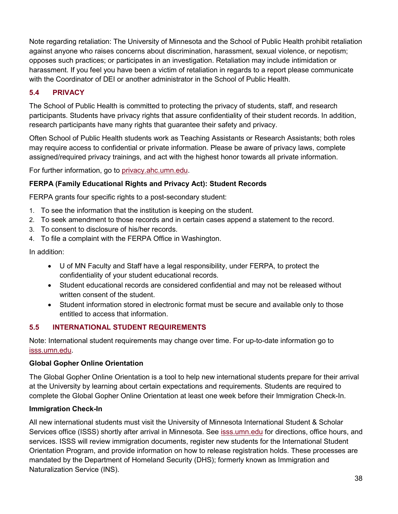Note regarding retaliation: The University of Minnesota and the School of Public Health prohibit retaliation against anyone who raises concerns about discrimination, harassment, sexual violence, or nepotism; opposes such practices; or participates in an investigation. Retaliation may include intimidation or harassment. If you feel you have been a victim of retaliation in regards to a report please communicate with the Coordinator of DEI or another administrator in the School of Public Health.

# **5.4 PRIVACY**

The School of Public Health is committed to protecting the privacy of students, staff, and research participants. Students have privacy rights that assure confidentiality of their student records. In addition, research participants have many rights that guarantee their safety and privacy.

Often School of Public Health students work as Teaching Assistants or Research Assistants; both roles may require access to confidential or private information. Please be aware of privacy laws, complete assigned/required privacy trainings, and act with the highest honor towards all private information.

For further information, go to [privacy.ahc.umn.edu.](http://privacy.ahc.umn.edu/)

# **FERPA (Family Educational Rights and Privacy Act): Student Records**

FERPA grants four specific rights to a post-secondary student:

- 1. To see the information that the institution is keeping on the student.
- 2. To seek amendment to those records and in certain cases append a statement to the record.
- 3. To consent to disclosure of his/her records.
- 4. To file a complaint with the FERPA Office in Washington.

In addition:

- U of MN Faculty and Staff have a legal responsibility, under FERPA, to protect the confidentiality of your student educational records.
- Student educational records are considered confidential and may not be released without written consent of the student.
- Student information stored in electronic format must be secure and available only to those entitled to access that information.

# **5.5 INTERNATIONAL STUDENT REQUIREMENTS**

Note: International student requirements may change over time. For up-to-date information go to [isss.umn.edu.](http://www.isss.umn.edu/)

# **Global Gopher Online Orientation**

The Global Gopher Online Orientation is a tool to help new international students prepare for their arrival at the University by learning about certain expectations and requirements. Students are required to complete the Global Gopher Online Orientation at least one week before their Immigration Check-In.

# **Immigration Check-In**

All new international students must visit the University of Minnesota International Student & Scholar Services office (ISSS) shortly after arrival in Minnesota. See [isss.umn.edu](http://www.isss.umn.edu/) for directions, office hours, and services. ISSS will review immigration documents, register new students for the International Student Orientation Program, and provide information on how to release registration holds. These processes are mandated by the Department of Homeland Security (DHS); formerly known as Immigration and Naturalization Service (INS).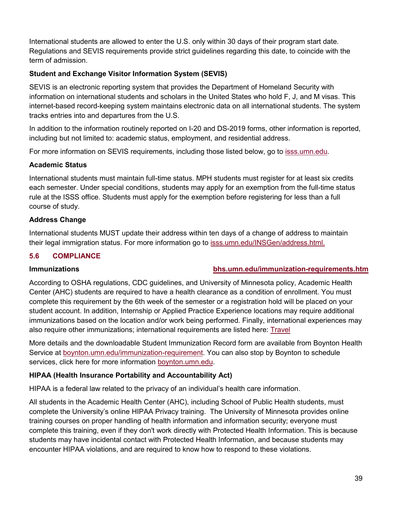International students are allowed to enter the U.S. only within 30 days of their program start date. Regulations and SEVIS requirements provide strict guidelines regarding this date, to coincide with the term of admission.

# **Student and Exchange Visitor Information System (SEVIS)**

SEVIS is an electronic reporting system that provides the Department of Homeland Security with information on international students and scholars in the United States who hold F, J, and M visas. This internet-based record-keeping system maintains electronic data on all international students. The system tracks entries into and departures from the U.S.

In addition to the information routinely reported on I-20 and DS-2019 forms, other information is reported, including but not limited to: academic status, employment, and residential address.

For more information on SEVIS requirements, including those listed below, go to [isss.umn.edu.](http://www.isss.umn.edu/)

# **Academic Status**

International students must maintain full-time status. MPH students must register for at least six credits each semester. Under special conditions, students may apply for an exemption from the full-time status rule at the ISSS office. Students must apply for the exemption before registering for less than a full course of study.

# **Address Change**

International students MUST update their address within ten days of a change of address to maintain their legal immigration status. For more information go to [isss.umn.edu/INSGen/address.html.](http://www.isss.umn.edu/INSGen/address.html)

# **5.6 COMPLIANCE**

# **Immunizations [bhs.umn.edu/immunization-requirements.htm](http://www.bhs.umn.edu/immunization-requirements.htm)**

According to OSHA regulations, CDC guidelines, and University of Minnesota policy, Academic Health Center (AHC) students are required to have a health clearance as a condition of enrollment. You must complete this requirement by the 6th week of the semester or a registration hold will be placed on your student account. In addition, Internship or Applied Practice Experience locations may require additional immunizations based on the location and/or work being performed. Finally, international experiences may also require other immunizations; international requirements are listed here: [Travel](https://boynton.umn.edu/clinics/travel)

More details and the downloadable Student Immunization Record form are available from Boynton Health Service at [boynton.umn.edu/immunization-requirement.](https://boynton.umn.edu/immunization-requirement) You can also stop by Boynton to schedule services, click here for more information [boynton.umn.edu.](https://boynton.umn.edu/)

# **HIPAA (Health Insurance Portability and Accountability Act)**

HIPAA is a federal law related to the privacy of an individual's health care information.

All students in the Academic Health Center (AHC), including School of Public Health students, must complete the University's online HIPAA Privacy training. The University of Minnesota provides online training courses on proper handling of health information and information security; everyone must complete this training, even if they don't work directly with Protected Health Information. This is because students may have incidental contact with Protected Health Information, and because students may encounter HIPAA violations, and are required to know how to respond to these violations.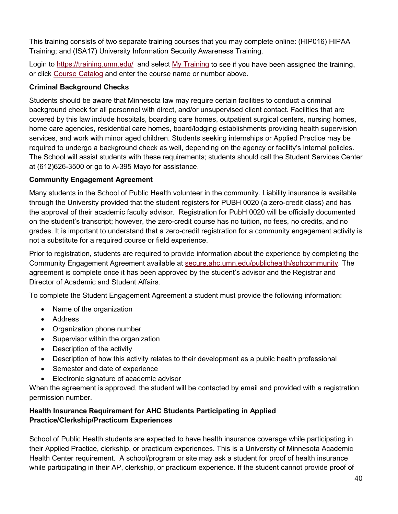This training consists of two separate training courses that you may complete online: (HIP016) HIPAA Training; and (ISA17) University Information Security Awareness Training.

Login to<https://training.umn.edu/>and select [My Training](https://training.umn.edu/secure/training) to see if you have been assigned the training, or click [Course Catalog](https://training.umn.edu/courses) and enter the course name or number above.

# **Criminal Background Checks**

Students should be aware that Minnesota law may require certain facilities to conduct a criminal background check for all personnel with direct, and/or unsupervised client contact. Facilities that are covered by this law include hospitals, boarding care homes, outpatient surgical centers, nursing homes, home care agencies, residential care homes, board/lodging establishments providing health supervision services, and work with minor aged children. Students seeking internships or Applied Practice may be required to undergo a background check as well, depending on the agency or facility's internal policies. The School will assist students with these requirements; students should call the Student Services Center at (612)626-3500 or go to A-395 Mayo for assistance.

# **Community Engagement Agreement**

Many students in the School of Public Health volunteer in the community. Liability insurance is available through the University provided that the student registers for PUBH 0020 (a zero-credit class) and has the approval of their academic faculty advisor. Registration for PubH 0020 will be officially documented on the student's transcript; however, the zero-credit course has no tuition, no fees, no credits, and no grades. It is important to understand that a zero-credit registration for a community engagement activity is not a substitute for a required course or field experience.

Prior to registration, students are required to provide information about the experience by completing the Community Engagement Agreement available at [secure.ahc.umn.edu/publichealth/sphcommunity.](https://secure.ahc.umn.edu/publichealth/sphcommunity) The agreement is complete once it has been approved by the student's advisor and the Registrar and Director of Academic and Student Affairs.

To complete the Student Engagement Agreement a student must provide the following information:

- Name of the organization
- Address
- Organization phone number
- Supervisor within the organization
- Description of the activity
- Description of how this activity relates to their development as a public health professional
- Semester and date of experience
- Electronic signature of academic advisor

When the agreement is approved, the student will be contacted by email and provided with a registration permission number.

# **Health Insurance Requirement for AHC Students Participating in Applied Practice/Clerkship/Practicum Experiences**

School of Public Health students are expected to have health insurance coverage while participating in their Applied Practice, clerkship, or practicum experiences. This is a University of Minnesota Academic Health Center requirement. A school/program or site may ask a student for proof of health insurance while participating in their AP, clerkship, or practicum experience. If the student cannot provide proof of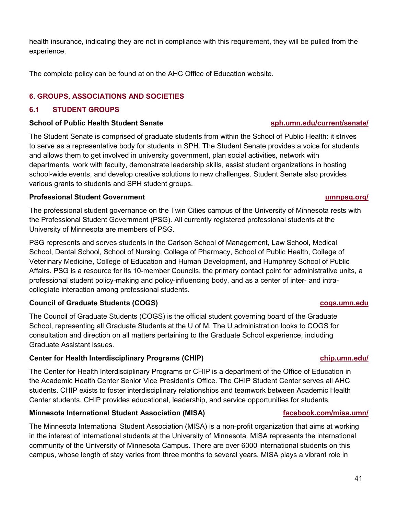health insurance, indicating they are not in compliance with this requirement, they will be pulled from the experience.

The complete policy can be found at on the AHC Office of Education website.

# **6. GROUPS, ASSOCIATIONS AND SOCIETIES**

# **6.1 STUDENT GROUPS**

## **School of Public Health Student Senate [sph.umn.edu/current/senate/](http://www.sph.umn.edu/current/senate/)**

The Student Senate is comprised of graduate students from within the School of Public Health: it strives to serve as a representative body for students in SPH. The Student Senate provides a voice for students and allows them to get involved in university government, plan social activities, network with departments, work with faculty, demonstrate leadership skills, assist student organizations in hosting school-wide events, and develop creative solutions to new challenges. Student Senate also provides various grants to students and SPH student groups.

# **Professional Student Government [umnpsg.org/](http://www.umnpsg.org/)**

The professional student governance on the Twin Cities campus of the University of Minnesota rests with the Professional Student Government (PSG). All currently registered professional students at the University of Minnesota are members of PSG.

PSG represents and serves students in the Carlson School of Management, Law School, Medical School, Dental School, School of Nursing, College of Pharmacy, School of Public Health, College of Veterinary Medicine, College of Education and Human Development, and Humphrey School of Public Affairs. PSG is a resource for its 10-member Councils, the primary contact point for administrative units, a professional student policy-making and policy-influencing body, and as a center of inter- and intracollegiate interaction among professional students.

# **Council of Graduate Students (COGS) [cogs.umn.edu](https://sites.google.com/a/umn.edu/e47eb18e/home)**

The Council of Graduate Students (COGS) is the official student governing board of the Graduate School, representing all Graduate Students at the U of M. The U administration looks to COGS for consultation and direction on all matters pertaining to the Graduate School experience, including Graduate Assistant issues.

# **Center for Health Interdisciplinary Programs (CHIP) [chip.umn.edu/](https://www.chip.umn.edu/)**

The Center for Health Interdisciplinary Programs or CHIP is a department of the Office of Education in the Academic Health Center Senior Vice President's Office. The CHIP Student Center serves all AHC students. CHIP exists to foster interdisciplinary relationships and teamwork between Academic Health Center students. CHIP provides educational, leadership, and service opportunities for students.

# **Minnesota International Student Association (MISA) [facebook.com/misa.umn/](https://www.facebook.com/misa.umn/)**

The Minnesota International Student Association (MISA) is a non-profit organization that aims at working in the interest of international students at the University of Minnesota. MISA represents the international community of the University of Minnesota Campus. There are over 6000 international students on this campus, whose length of stay varies from three months to several years. MISA plays a vibrant role in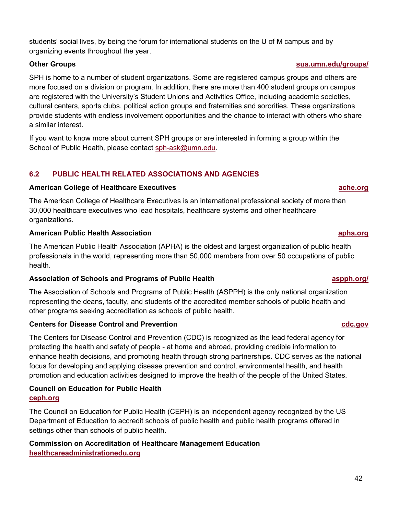students' social lives, by being the forum for international students on the U of M campus and by organizing events throughout the year.

SPH is home to a number of student organizations. Some are registered campus groups and others are more focused on a division or program. In addition, there are more than 400 student groups on campus are registered with the University's Student Unions and Activities Office, including academic societies, cultural centers, sports clubs, political action groups and fraternities and sororities. These organizations provide students with endless involvement opportunities and the chance to interact with others who share a similar interest.

If you want to know more about current SPH groups or are interested in forming a group within the School of Public Health, please contact [sph-ask@umn.edu.](mailto:sph-ask@umn.edu)

# **6.2 PUBLIC HEALTH RELATED ASSOCIATIONS AND AGENCIES**

#### **American College of Healthcare Executives [ache.org](http://www.ache.org/)**

The American College of Healthcare Executives is an international professional society of more than 30,000 healthcare executives who lead hospitals, healthcare systems and other healthcare organizations.

#### **American Public Health Association [apha.org](http://www.apha.org/)**

The American Public Health Association (APHA) is the oldest and largest organization of public health professionals in the world, representing more than 50,000 members from over 50 occupations of public health.

### **Association of Schools and Programs of Public Health [aspph.org/](http://www.aspph.org/)**

The Association of Schools and Programs of Public Health (ASPPH) is the only national organization representing the deans, faculty, and students of the accredited member schools of public health and other programs seeking accreditation as schools of public health.

### **Centers for Disease Control and Prevention control and the control of the control of the control of the control of the control of the control of the control of the control of the control of the control of the control of**

The Centers for Disease Control and Prevention (CDC) is recognized as the lead federal agency for protecting the health and safety of people - at home and abroad, providing credible information to enhance health decisions, and promoting health through strong partnerships. CDC serves as the national focus for developing and applying disease prevention and control, environmental health, and health promotion and education activities designed to improve the health of the people of the United States.

# **Council on Education for Public Health [ceph.org](https://ceph.org/)**

The Council on Education for Public Health (CEPH) is an independent agency recognized by the US Department of Education to accredit schools of public health and public health programs offered in settings other than schools of public health.

# **Commission on Accreditation of Healthcare Management Education healthcareadministrationedu.org**

# **Other Groups [sua.umn.edu/groups/](http://sua.umn.edu/groups/)**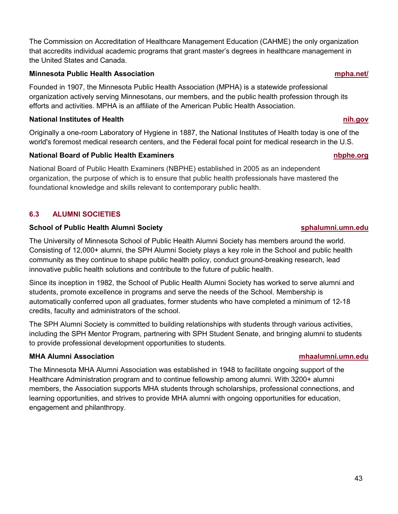The [Commission on Accreditation of Healthcare Management Education \(CAHME\)](https://www.cahme.org/) the only organization that accredits individual academic programs that grant master's degrees in healthcare management in the United States and Canada.

#### **Minnesota Public Health Association [mpha.net/](http://www.mpha.net/)**

Founded in 1907, the Minnesota Public Health Association (MPHA) is a statewide professional organization actively serving Minnesotans, our members, and the public health profession through its efforts and activities. MPHA is an affiliate of the American Public Health Association.

## **National Institutes of Health [nih.gov](http://www.nih.gov/)**

Originally a one-room Laboratory of Hygiene in 1887, the National Institutes of Health today is one of the world's foremost medical research centers, and the Federal focal point for medical research in the U.S.

# **National Board of Public Health Examiners notational Example.org**

National Board of Public Health Examiners (NBPHE) established in 2005 as an independent organization, the purpose of which is to ensure that public health professionals have mastered the foundational knowledge and skills relevant to contemporary public health.

# **6.3 ALUMNI SOCIETIES**

# **School of Public Health Alumni Society [sphalumni.umn.edu](http://sphalumni.umn.edu/)**

The University of Minnesota School of Public Health Alumni Society has members around the world. Consisting of 12,000+ alumni, the SPH Alumni Society plays a key role in the School and public health community as they continue to shape public health policy, conduct ground-breaking research, lead innovative public health solutions and contribute to the future of public health.

Since its inception in 1982, the School of Public Health Alumni Society has worked to serve alumni and students, promote excellence in programs and serve the needs of the School. Membership is automatically conferred upon all graduates, former students who have completed a minimum of 12-18 credits, faculty and administrators of the school.

The SPH Alumni Society is committed to building relationships with students through various activities, including the SPH Mentor Program, partnering with SPH Student Senate, and bringing alumni to students to provide professional development opportunities to students.

# **MHA Alumni Association [mhaalumni.umn.edu](http://mhaalumni.umn.edu/)**

The Minnesota MHA Alumni Association was established in 1948 to facilitate ongoing support of the Healthcare Administration program and to continue fellowship among alumni. With 3200+ alumni members, the Association supports MHA students through scholarships, professional connections, and learning opportunities, and strives to provide MHA alumni with ongoing opportunities for education, engagement and philanthropy.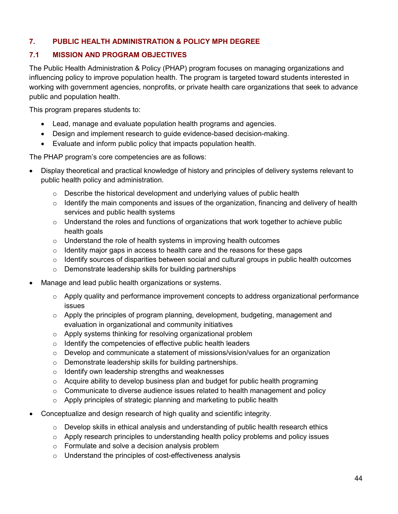# **7. PUBLIC HEALTH ADMINISTRATION & POLICY MPH DEGREE**

# **7.1 MISSION AND PROGRAM OBJECTIVES**

The Public Health Administration & Policy (PHAP) program focuses on managing organizations and influencing policy to improve population health. The program is targeted toward students interested in working with government agencies, nonprofits, or private health care organizations that seek to advance public and population health.

This program prepares students to:

- Lead, manage and evaluate population health programs and agencies.
- Design and implement research to guide evidence-based decision-making.
- Evaluate and inform public policy that impacts population health.

The PHAP program's core competencies are as follows:

- Display theoretical and practical knowledge of history and principles of delivery systems relevant to public health policy and administration.
	- $\circ$  Describe the historical development and underlying values of public health
	- $\circ$  Identify the main components and issues of the organization, financing and delivery of health services and public health systems
	- o Understand the roles and functions of organizations that work together to achieve public health goals
	- $\circ$  Understand the role of health systems in improving health outcomes
	- $\circ$  Identity major gaps in access to health care and the reasons for these gaps
	- o Identify sources of disparities between social and cultural groups in public health outcomes
	- o Demonstrate leadership skills for building partnerships
- Manage and lead public health organizations or systems.
	- o Apply quality and performance improvement concepts to address organizational performance issues
	- $\circ$  Apply the principles of program planning, development, budgeting, management and evaluation in organizational and community initiatives
	- o Apply systems thinking for resolving organizational problem
	- o Identify the competencies of effective public health leaders
	- $\circ$  Develop and communicate a statement of missions/vision/values for an organization
	- o Demonstrate leadership skills for building partnerships.
	- o Identify own leadership strengths and weaknesses
	- $\circ$  Acquire ability to develop business plan and budget for public health programing
	- $\circ$  Communicate to diverse audience issues related to health management and policy
	- o Apply principles of strategic planning and marketing to public health
- Conceptualize and design research of high quality and scientific integrity.
	- $\circ$  Develop skills in ethical analysis and understanding of public health research ethics
	- $\circ$  Apply research principles to understanding health policy problems and policy issues
	- o Formulate and solve a decision analysis problem
	- o Understand the principles of cost-effectiveness analysis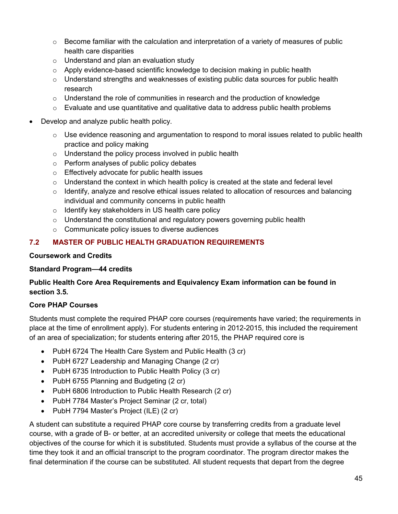- $\circ$  Become familiar with the calculation and interpretation of a variety of measures of public health care disparities
- o Understand and plan an evaluation study
- $\circ$  Apply evidence-based scientific knowledge to decision making in public health
- $\circ$  Understand strengths and weaknesses of existing public data sources for public health research
- $\circ$  Understand the role of communities in research and the production of knowledge
- $\circ$  Evaluate and use quantitative and qualitative data to address public health problems
- Develop and analyze public health policy.
	- $\circ$  Use evidence reasoning and argumentation to respond to moral issues related to public health practice and policy making
	- $\circ$  Understand the policy process involved in public health
	- o Perform analyses of public policy debates
	- o Effectively advocate for public health issues
	- $\circ$  Understand the context in which health policy is created at the state and federal level
	- $\circ$  Identify, analyze and resolve ethical issues related to allocation of resources and balancing individual and community concerns in public health
	- o Identify key stakeholders in US health care policy
	- $\circ$  Understand the constitutional and regulatory powers governing public health
	- $\circ$  Communicate policy issues to diverse audiences

# **7.2 MASTER OF PUBLIC HEALTH GRADUATION REQUIREMENTS**

#### **Coursework and Credits**

### **Standard Program—44 credits**

# **Public Health Core Area Requirements and Equivalency Exam information can be found in section 3.5.**

# **Core PHAP Courses**

Students must complete the required PHAP core courses (requirements have varied; the requirements in place at the time of enrollment apply). For students entering in 2012-2015, this included the requirement of an area of specialization; for students entering after 2015, the PHAP required core is

- PubH 6724 The Health Care System and Public Health (3 cr)
- PubH 6727 Leadership and Managing Change (2 cr)
- PubH 6735 Introduction to Public Health Policy (3 cr)
- PubH 6755 Planning and Budgeting (2 cr)
- PubH 6806 Introduction to Public Health Research (2 cr)
- PubH 7784 Master's Project Seminar (2 cr, total)
- PubH 7794 Master's Project (ILE) (2 cr)

A student can substitute a required PHAP core course by transferring credits from a graduate level course, with a grade of B- or better, at an accredited university or college that meets the educational objectives of the course for which it is substituted. Students must provide a syllabus of the course at the time they took it and an official transcript to the program coordinator. The program director makes the final determination if the course can be substituted. All student requests that depart from the degree